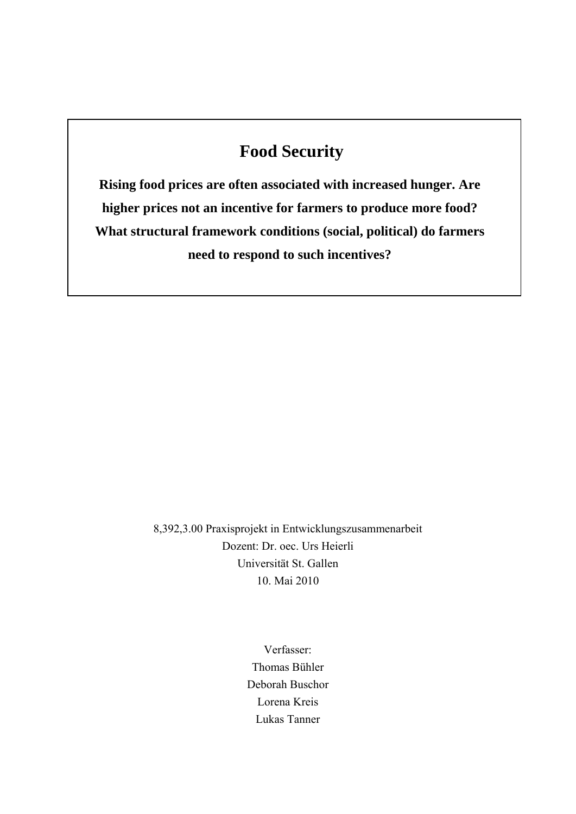# **Food Security**

**Rising food prices are often associated with increased hunger. Are higher prices not an incentive for farmers to produce more food? What structural framework conditions (social, political) do farmers need to respond to such incentives?** 

> 8,392,3.00 Praxisprojekt in Entwicklungszusammenarbeit Dozent: Dr. oec. Urs Heierli Universität St. Gallen 10. Mai 2010

> > Verfasser: Thomas Bühler Deborah Buschor Lorena Kreis Lukas Tanner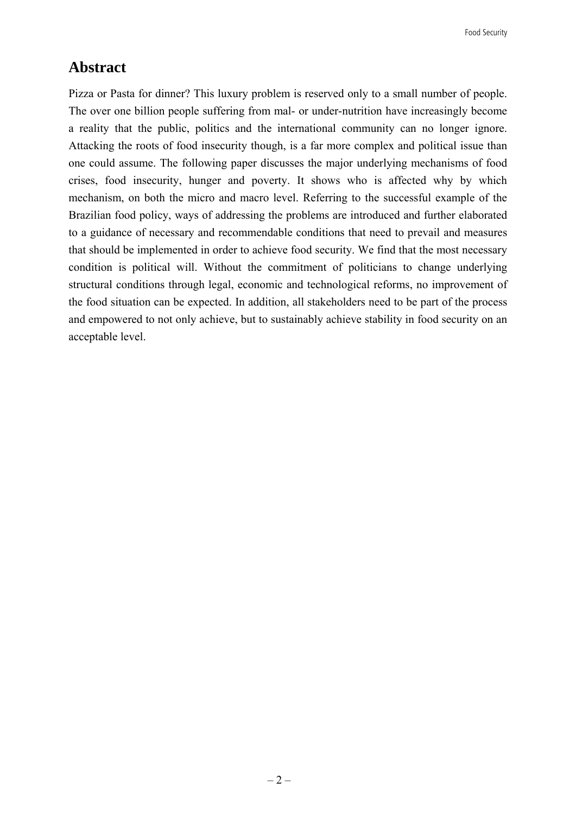## **Abstract**

Pizza or Pasta for dinner? This luxury problem is reserved only to a small number of people. The over one billion people suffering from mal- or under-nutrition have increasingly become a reality that the public, politics and the international community can no longer ignore. Attacking the roots of food insecurity though, is a far more complex and political issue than one could assume. The following paper discusses the major underlying mechanisms of food crises, food insecurity, hunger and poverty. It shows who is affected why by which mechanism, on both the micro and macro level. Referring to the successful example of the Brazilian food policy, ways of addressing the problems are introduced and further elaborated to a guidance of necessary and recommendable conditions that need to prevail and measures that should be implemented in order to achieve food security. We find that the most necessary condition is political will. Without the commitment of politicians to change underlying structural conditions through legal, economic and technological reforms, no improvement of the food situation can be expected. In addition, all stakeholders need to be part of the process and empowered to not only achieve, but to sustainably achieve stability in food security on an acceptable level.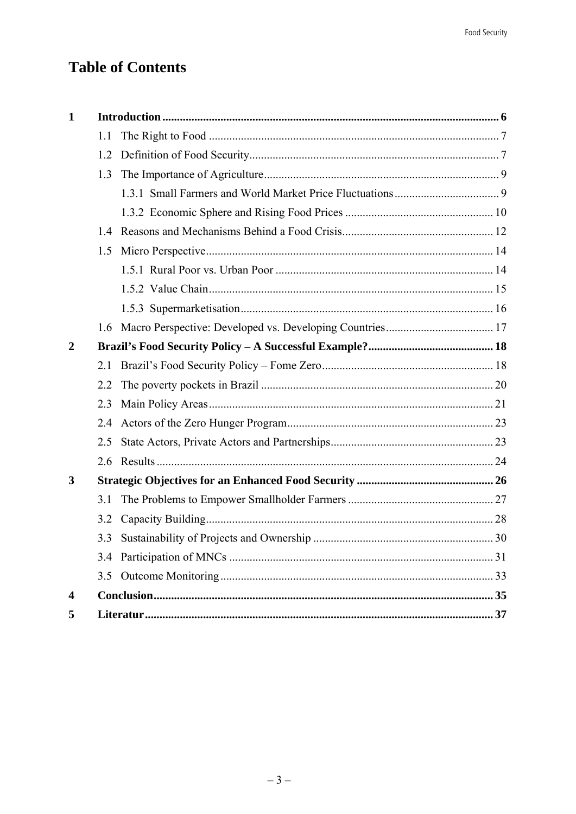# **Table of Contents**

| $\mathbf 1$             |     |  |  |
|-------------------------|-----|--|--|
|                         | 1.1 |  |  |
|                         | 1.2 |  |  |
|                         | 1.3 |  |  |
|                         |     |  |  |
|                         |     |  |  |
|                         | 1.4 |  |  |
|                         | 1.5 |  |  |
|                         |     |  |  |
|                         |     |  |  |
|                         |     |  |  |
|                         | 1.6 |  |  |
| $\overline{2}$          |     |  |  |
|                         | 2.1 |  |  |
|                         | 2.2 |  |  |
|                         | 2.3 |  |  |
|                         | 2.4 |  |  |
|                         | 2.5 |  |  |
|                         | 2.6 |  |  |
| 3                       |     |  |  |
|                         | 3.1 |  |  |
|                         | 3.2 |  |  |
|                         |     |  |  |
|                         |     |  |  |
|                         | 3.5 |  |  |
| $\overline{\mathbf{4}}$ |     |  |  |
| 5                       |     |  |  |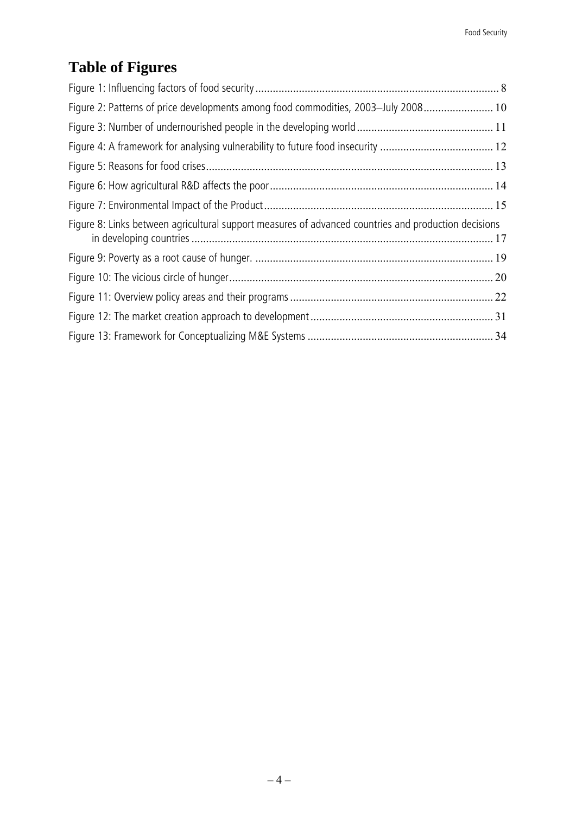# **Table of Figures**

| Figure 2: Patterns of price developments among food commodities, 2003-July 2008 10                   |  |
|------------------------------------------------------------------------------------------------------|--|
|                                                                                                      |  |
|                                                                                                      |  |
|                                                                                                      |  |
|                                                                                                      |  |
|                                                                                                      |  |
| Figure 8: Links between agricultural support measures of advanced countries and production decisions |  |
|                                                                                                      |  |
|                                                                                                      |  |
|                                                                                                      |  |
|                                                                                                      |  |
|                                                                                                      |  |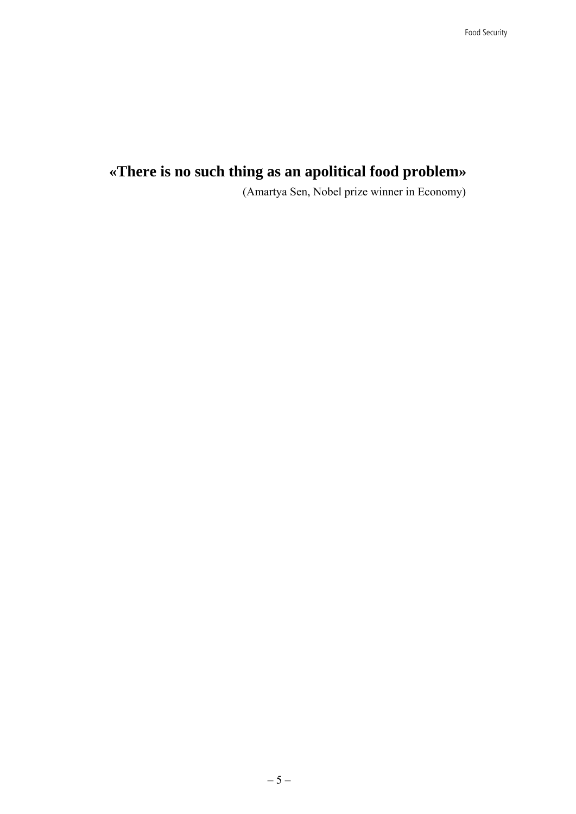## **«There is no such thing as an apolitical food problem»**

(Amartya Sen, Nobel prize winner in Economy)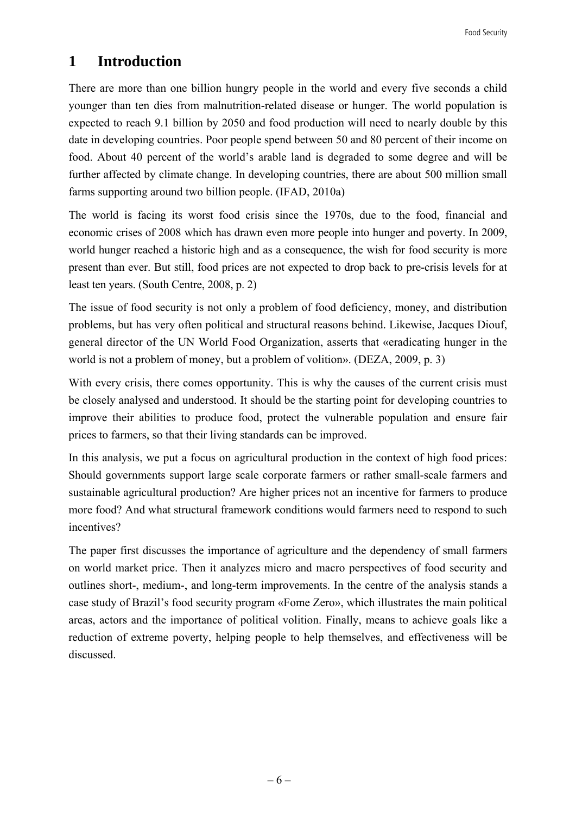## **1 Introduction**

There are more than one billion hungry people in the world and every five seconds a child younger than ten dies from malnutrition-related disease or hunger. The world population is expected to reach 9.1 billion by 2050 and food production will need to nearly double by this date in developing countries. Poor people spend between 50 and 80 percent of their income on food. About 40 percent of the world's arable land is degraded to some degree and will be further affected by climate change. In developing countries, there are about 500 million small farms supporting around two billion people. (IFAD, 2010a)

The world is facing its worst food crisis since the 1970s, due to the food, financial and economic crises of 2008 which has drawn even more people into hunger and poverty. In 2009, world hunger reached a historic high and as a consequence, the wish for food security is more present than ever. But still, food prices are not expected to drop back to pre-crisis levels for at least ten years. (South Centre, 2008, p. 2)

The issue of food security is not only a problem of food deficiency, money, and distribution problems, but has very often political and structural reasons behind. Likewise, Jacques Diouf, general director of the UN World Food Organization, asserts that «eradicating hunger in the world is not a problem of money, but a problem of volition». (DEZA, 2009, p. 3)

With every crisis, there comes opportunity. This is why the causes of the current crisis must be closely analysed and understood. It should be the starting point for developing countries to improve their abilities to produce food, protect the vulnerable population and ensure fair prices to farmers, so that their living standards can be improved.

In this analysis, we put a focus on agricultural production in the context of high food prices: Should governments support large scale corporate farmers or rather small-scale farmers and sustainable agricultural production? Are higher prices not an incentive for farmers to produce more food? And what structural framework conditions would farmers need to respond to such incentives?

The paper first discusses the importance of agriculture and the dependency of small farmers on world market price. Then it analyzes micro and macro perspectives of food security and outlines short-, medium-, and long-term improvements. In the centre of the analysis stands a case study of Brazil's food security program «Fome Zero», which illustrates the main political areas, actors and the importance of political volition. Finally, means to achieve goals like a reduction of extreme poverty, helping people to help themselves, and effectiveness will be discussed.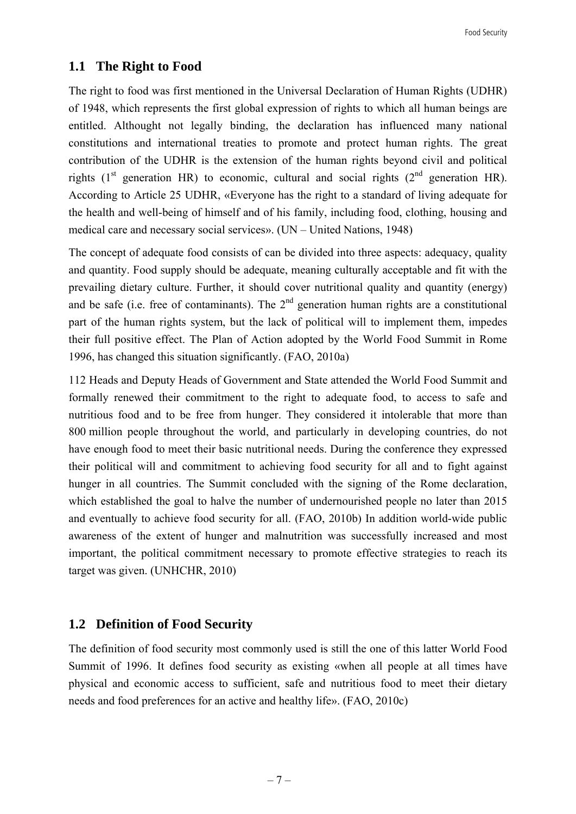#### **1.1 The Right to Food**

The right to food was first mentioned in the Universal Declaration of Human Rights (UDHR) of 1948, which represents the first global expression of rights to which all human beings are entitled. Althought not legally binding, the declaration has influenced many national constitutions and international treaties to promote and protect human rights. The great contribution of the UDHR is the extension of the human rights beyond civil and political rights  $(1<sup>st</sup>$  generation HR) to economic, cultural and social rights  $(2<sup>nd</sup>$  generation HR). According to Article 25 UDHR, «Everyone has the right to a standard of living adequate for the health and well-being of himself and of his family, including food, clothing, housing and medical care and necessary social services». (UN – United Nations, 1948)

The concept of adequate food consists of can be divided into three aspects: adequacy, quality and quantity. Food supply should be adequate, meaning culturally acceptable and fit with the prevailing dietary culture. Further, it should cover nutritional quality and quantity (energy) and be safe (i.e. free of contaminants). The  $2<sup>nd</sup>$  generation human rights are a constitutional part of the human rights system, but the lack of political will to implement them, impedes their full positive effect. The Plan of Action adopted by the World Food Summit in Rome 1996, has changed this situation significantly. (FAO, 2010a)

112 Heads and Deputy Heads of Government and State attended the World Food Summit and formally renewed their commitment to the right to adequate food, to access to safe and nutritious food and to be free from hunger. They considered it intolerable that more than 800 million people throughout the world, and particularly in developing countries, do not have enough food to meet their basic nutritional needs. During the conference they expressed their political will and commitment to achieving food security for all and to fight against hunger in all countries. The Summit concluded with the signing of the Rome declaration, which established the goal to halve the number of undernourished people no later than 2015 and eventually to achieve food security for all. (FAO, 2010b) In addition world-wide public awareness of the extent of hunger and malnutrition was successfully increased and most important, the political commitment necessary to promote effective strategies to reach its target was given. (UNHCHR, 2010)

#### **1.2 Definition of Food Security**

The definition of food security most commonly used is still the one of this latter World Food Summit of 1996. It defines food security as existing «when all people at all times have physical and economic access to sufficient, safe and nutritious food to meet their dietary needs and food preferences for an active and healthy life». (FAO, 2010c)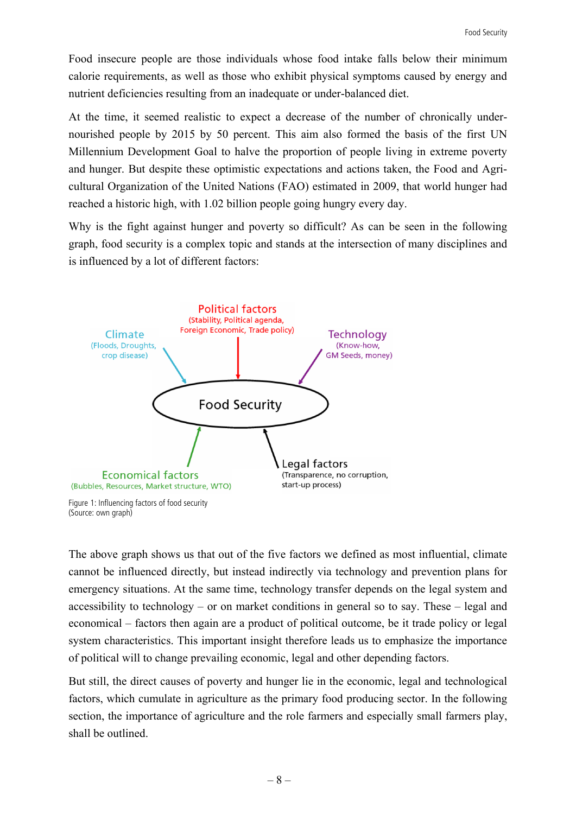Food insecure people are those individuals whose food intake falls below their minimum calorie requirements, as well as those who exhibit physical symptoms caused by energy and nutrient deficiencies resulting from an inadequate or under-balanced diet.

At the time, it seemed realistic to expect a decrease of the number of chronically undernourished people by 2015 by 50 percent. This aim also formed the basis of the first UN Millennium Development Goal to halve the proportion of people living in extreme poverty and hunger. But despite these optimistic expectations and actions taken, the Food and Agricultural Organization of the United Nations (FAO) estimated in 2009, that world hunger had reached a historic high, with 1.02 billion people going hungry every day.

Why is the fight against hunger and poverty so difficult? As can be seen in the following graph, food security is a complex topic and stands at the intersection of many disciplines and is influenced by a lot of different factors:



(Source: own graph)

The above graph shows us that out of the five factors we defined as most influential, climate cannot be influenced directly, but instead indirectly via technology and prevention plans for emergency situations. At the same time, technology transfer depends on the legal system and accessibility to technology – or on market conditions in general so to say. These – legal and economical – factors then again are a product of political outcome, be it trade policy or legal system characteristics. This important insight therefore leads us to emphasize the importance of political will to change prevailing economic, legal and other depending factors.

But still, the direct causes of poverty and hunger lie in the economic, legal and technological factors, which cumulate in agriculture as the primary food producing sector. In the following section, the importance of agriculture and the role farmers and especially small farmers play, shall be outlined.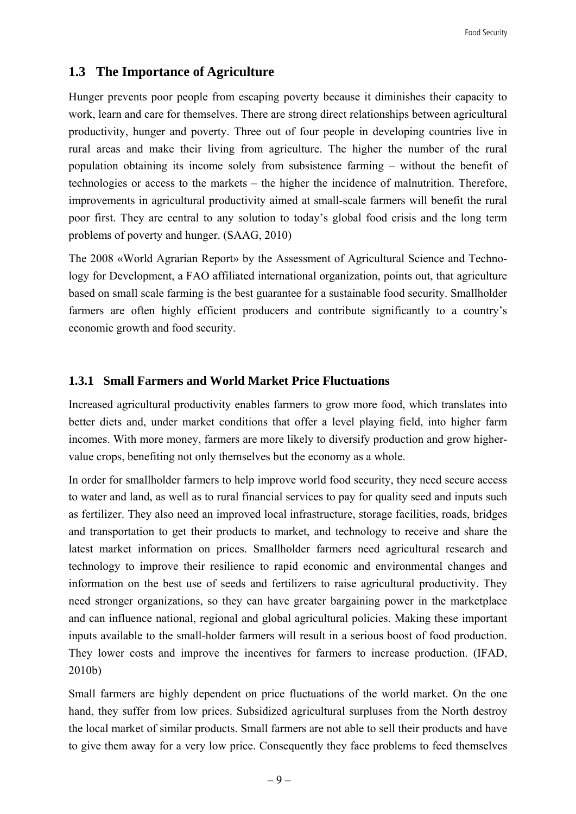## **1.3 The Importance of Agriculture**

Hunger prevents poor people from escaping poverty because it diminishes their capacity to work, learn and care for themselves. There are strong direct relationships between agricultural productivity, hunger and poverty. Three out of four people in developing countries live in rural areas and make their living from agriculture. The higher the number of the rural population obtaining its income solely from subsistence farming – without the benefit of technologies or access to the markets – the higher the incidence of malnutrition. Therefore, improvements in agricultural productivity aimed at small-scale farmers will benefit the rural poor first. They are central to any solution to today's global food crisis and the long term problems of poverty and hunger. (SAAG, 2010)

The 2008 «World Agrarian Report» by the Assessment of Agricultural Science and Technology for Development, a FAO affiliated international organization, points out, that agriculture based on small scale farming is the best guarantee for a sustainable food security. Smallholder farmers are often highly efficient producers and contribute significantly to a country's economic growth and food security.

#### **1.3.1 Small Farmers and World Market Price Fluctuations**

Increased agricultural productivity enables farmers to grow more food, which translates into better diets and, under market conditions that offer a level playing field, into higher farm incomes. With more money, farmers are more likely to diversify production and grow highervalue crops, benefiting not only themselves but the economy as a whole.

In order for smallholder farmers to help improve world food security, they need secure access to water and land, as well as to rural financial services to pay for quality seed and inputs such as fertilizer. They also need an improved local infrastructure, storage facilities, roads, bridges and transportation to get their products to market, and technology to receive and share the latest market information on prices. Smallholder farmers need agricultural research and technology to improve their resilience to rapid economic and environmental changes and information on the best use of seeds and fertilizers to raise agricultural productivity. They need stronger organizations, so they can have greater bargaining power in the marketplace and can influence national, regional and global agricultural policies. Making these important inputs available to the small-holder farmers will result in a serious boost of food production. They lower costs and improve the incentives for farmers to increase production. (IFAD, 2010b)

Small farmers are highly dependent on price fluctuations of the world market. On the one hand, they suffer from low prices. Subsidized agricultural surpluses from the North destroy the local market of similar products. Small farmers are not able to sell their products and have to give them away for a very low price. Consequently they face problems to feed themselves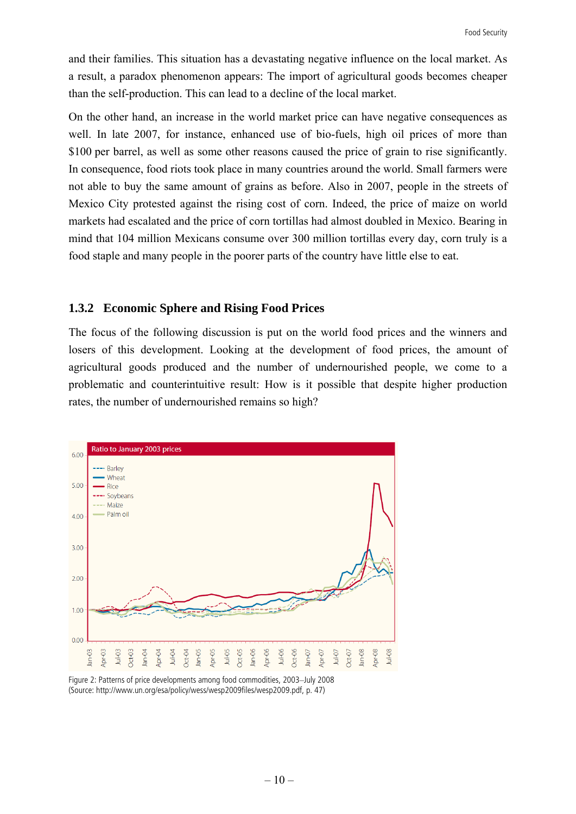and their families. This situation has a devastating negative influence on the local market. As a result, a paradox phenomenon appears: The import of agricultural goods becomes cheaper than the self-production. This can lead to a decline of the local market.

On the other hand, an increase in the world market price can have negative consequences as well. In late 2007, for instance, enhanced use of bio-fuels, high oil prices of more than \$100 per barrel, as well as some other reasons caused the price of grain to rise significantly. In consequence, food riots took place in many countries around the world. Small farmers were not able to buy the same amount of grains as before. Also in 2007, people in the streets of Mexico City protested against the rising cost of corn. Indeed, the price of maize on world markets had escalated and the price of corn tortillas had almost doubled in Mexico. Bearing in mind that 104 million Mexicans consume over 300 million tortillas every day, corn truly is a food staple and many people in the poorer parts of the country have little else to eat.

#### **1.3.2 Economic Sphere and Rising Food Prices**

The focus of the following discussion is put on the world food prices and the winners and losers of this development. Looking at the development of food prices, the amount of agricultural goods produced and the number of undernourished people, we come to a problematic and counterintuitive result: How is it possible that despite higher production rates, the number of undernourished remains so high?



Figure 2: Patterns of price developments among food commodities, 2003–July 2008 (Source: http://www.un.org/esa/policy/wess/wesp2009files/wesp2009.pdf, p. 47)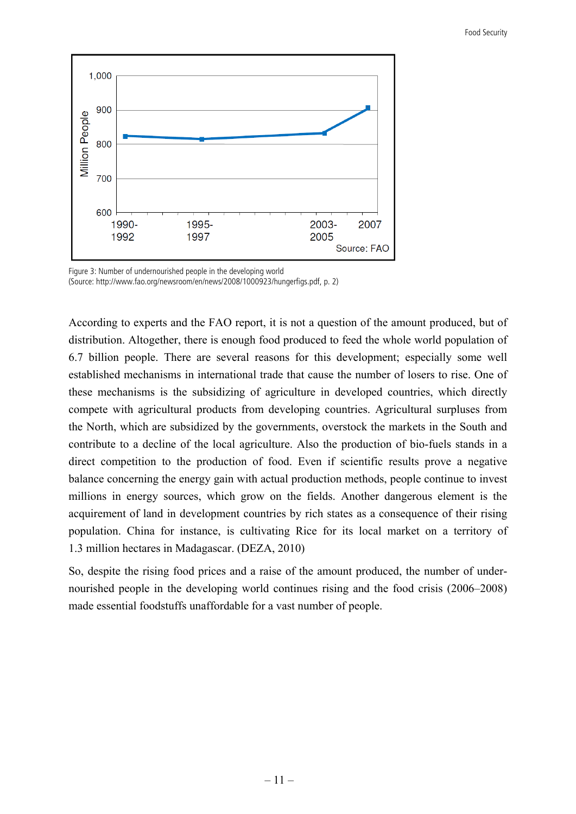

Figure 3: Number of undernourished people in the developing world (Source: http://www.fao.org/newsroom/en/news/2008/1000923/hungerfigs.pdf, p. 2)

According to experts and the FAO report, it is not a question of the amount produced, but of distribution. Altogether, there is enough food produced to feed the whole world population of 6.7 billion people. There are several reasons for this development; especially some well established mechanisms in international trade that cause the number of losers to rise. One of these mechanisms is the subsidizing of agriculture in developed countries, which directly compete with agricultural products from developing countries. Agricultural surpluses from the North, which are subsidized by the governments, overstock the markets in the South and contribute to a decline of the local agriculture. Also the production of bio-fuels stands in a direct competition to the production of food. Even if scientific results prove a negative balance concerning the energy gain with actual production methods, people continue to invest millions in energy sources, which grow on the fields. Another dangerous element is the acquirement of land in development countries by rich states as a consequence of their rising population. China for instance, is cultivating Rice for its local market on a territory of 1.3 million hectares in Madagascar. (DEZA, 2010)

So, despite the rising food prices and a raise of the amount produced, the number of undernourished people in the developing world continues rising and the food crisis (2006–2008) made essential foodstuffs unaffordable for a vast number of people.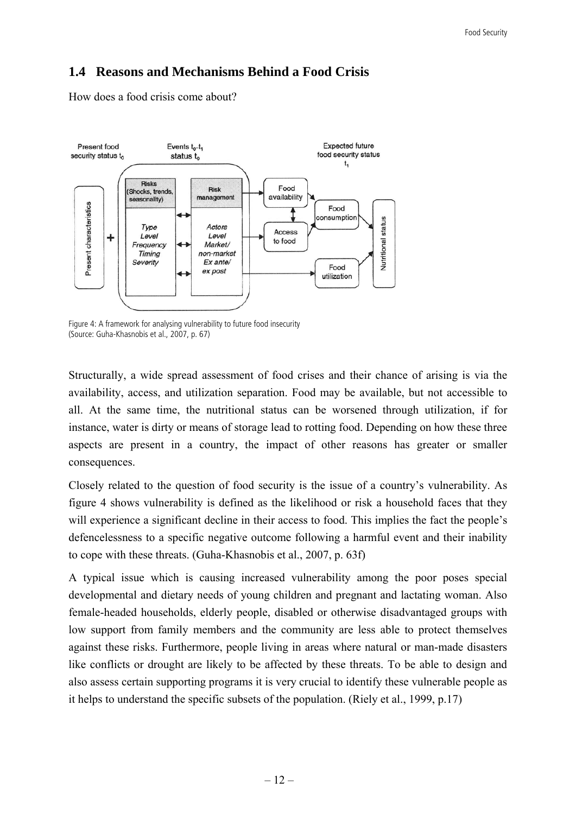### **1.4 Reasons and Mechanisms Behind a Food Crisis**

How does a food crisis come about?



Figure 4: A framework for analysing vulnerability to future food insecurity (Source: Guha-Khasnobis et al., 2007, p. 67)

Structurally, a wide spread assessment of food crises and their chance of arising is via the availability, access, and utilization separation. Food may be available, but not accessible to all. At the same time, the nutritional status can be worsened through utilization, if for instance, water is dirty or means of storage lead to rotting food. Depending on how these three aspects are present in a country, the impact of other reasons has greater or smaller consequences.

Closely related to the question of food security is the issue of a country's vulnerability. As figure 4 shows vulnerability is defined as the likelihood or risk a household faces that they will experience a significant decline in their access to food. This implies the fact the people's defencelessness to a specific negative outcome following a harmful event and their inability to cope with these threats. (Guha-Khasnobis et al., 2007, p. 63f)

A typical issue which is causing increased vulnerability among the poor poses special developmental and dietary needs of young children and pregnant and lactating woman. Also female-headed households, elderly people, disabled or otherwise disadvantaged groups with low support from family members and the community are less able to protect themselves against these risks. Furthermore, people living in areas where natural or man-made disasters like conflicts or drought are likely to be affected by these threats. To be able to design and also assess certain supporting programs it is very crucial to identify these vulnerable people as it helps to understand the specific subsets of the population. (Riely et al., 1999, p.17)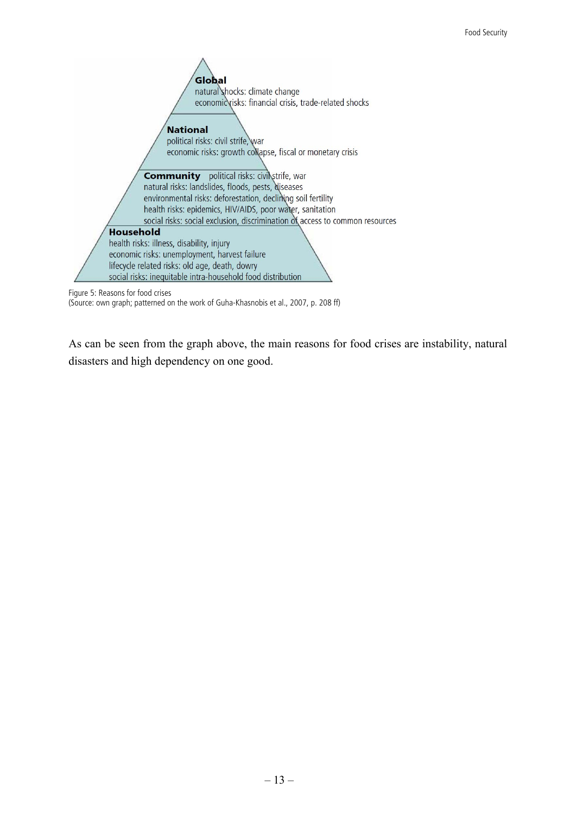

Figure 5: Reasons for food crises

(Source: own graph; patterned on the work of Guha-Khasnobis et al., 2007, p. 208 ff)

As can be seen from the graph above, the main reasons for food crises are instability, natural disasters and high dependency on one good.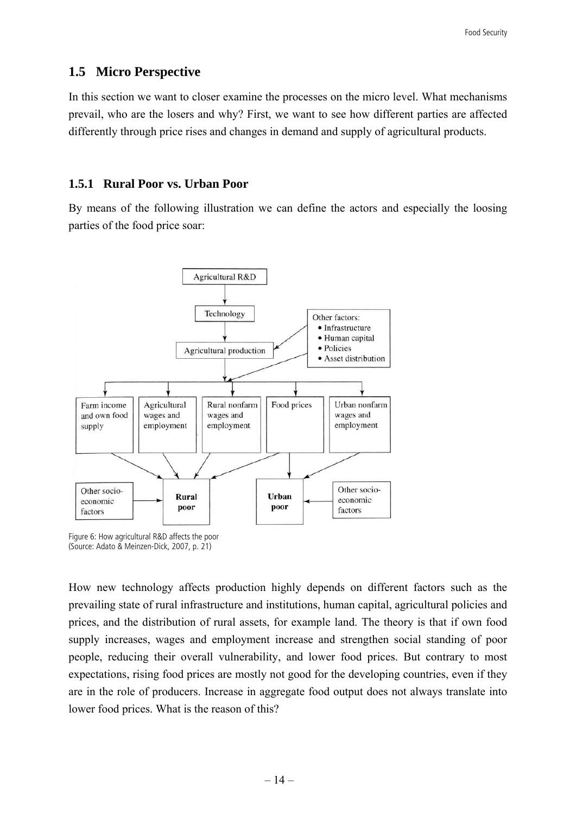#### **1.5 Micro Perspective**

In this section we want to closer examine the processes on the micro level. What mechanisms prevail, who are the losers and why? First, we want to see how different parties are affected differently through price rises and changes in demand and supply of agricultural products.

#### **1.5.1 Rural Poor vs. Urban Poor**

By means of the following illustration we can define the actors and especially the loosing parties of the food price soar:



Figure 6: How agricultural R&D affects the poor (Source: Adato & Meinzen-Dick, 2007, p. 21)

How new technology affects production highly depends on different factors such as the prevailing state of rural infrastructure and institutions, human capital, agricultural policies and prices, and the distribution of rural assets, for example land. The theory is that if own food supply increases, wages and employment increase and strengthen social standing of poor people, reducing their overall vulnerability, and lower food prices. But contrary to most expectations, rising food prices are mostly not good for the developing countries, even if they are in the role of producers. Increase in aggregate food output does not always translate into lower food prices. What is the reason of this?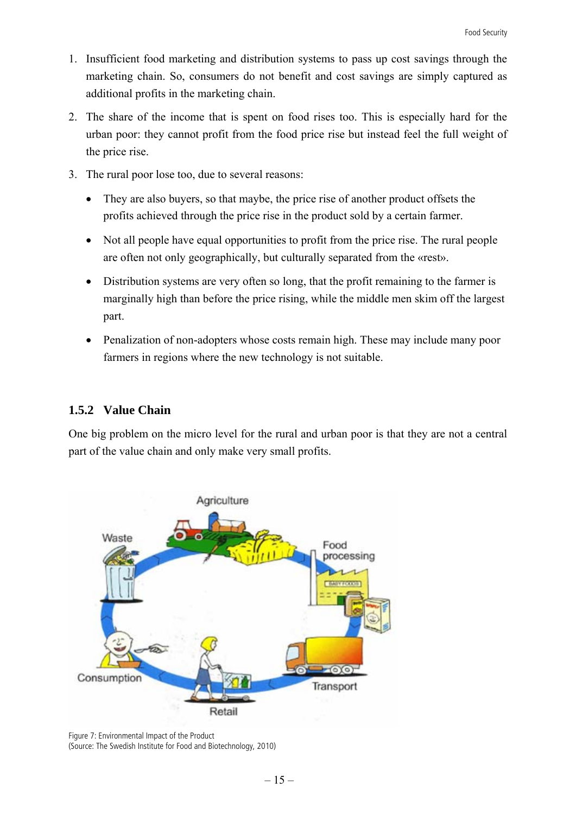- 1. Insufficient food marketing and distribution systems to pass up cost savings through the marketing chain. So, consumers do not benefit and cost savings are simply captured as additional profits in the marketing chain.
- 2. The share of the income that is spent on food rises too. This is especially hard for the urban poor: they cannot profit from the food price rise but instead feel the full weight of the price rise.
- 3. The rural poor lose too, due to several reasons:
	- They are also buyers, so that maybe, the price rise of another product offsets the profits achieved through the price rise in the product sold by a certain farmer.
	- Not all people have equal opportunities to profit from the price rise. The rural people are often not only geographically, but culturally separated from the «rest».
	- Distribution systems are very often so long, that the profit remaining to the farmer is marginally high than before the price rising, while the middle men skim off the largest part.
	- Penalization of non-adopters whose costs remain high. These may include many poor farmers in regions where the new technology is not suitable.

#### **1.5.2 Value Chain**

One big problem on the micro level for the rural and urban poor is that they are not a central part of the value chain and only make very small profits.



Figure 7: Environmental Impact of the Product (Source: The Swedish Institute for Food and Biotechnology, 2010)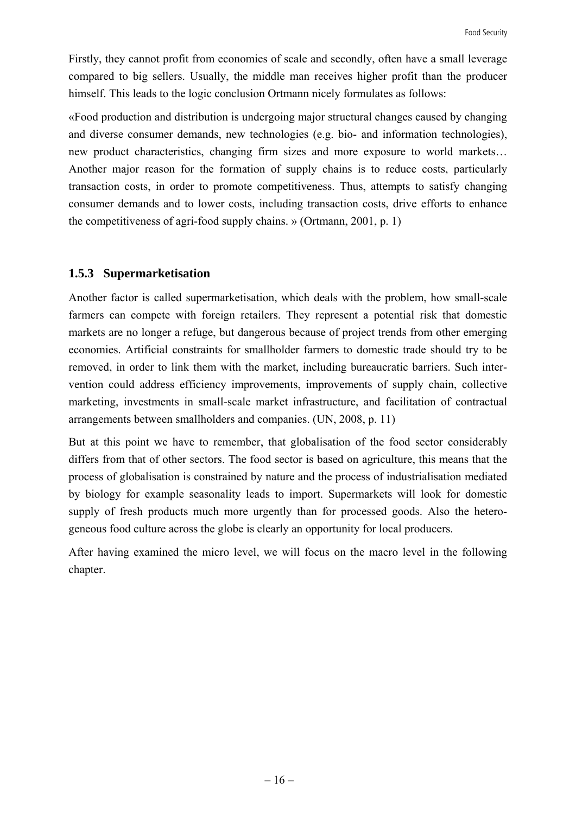Firstly, they cannot profit from economies of scale and secondly, often have a small leverage compared to big sellers. Usually, the middle man receives higher profit than the producer himself. This leads to the logic conclusion Ortmann nicely formulates as follows:

«Food production and distribution is undergoing major structural changes caused by changing and diverse consumer demands, new technologies (e.g. bio- and information technologies), new product characteristics, changing firm sizes and more exposure to world markets… Another major reason for the formation of supply chains is to reduce costs, particularly transaction costs, in order to promote competitiveness. Thus, attempts to satisfy changing consumer demands and to lower costs, including transaction costs, drive efforts to enhance the competitiveness of agri-food supply chains. » (Ortmann, 2001, p. 1)

#### **1.5.3 Supermarketisation**

Another factor is called supermarketisation, which deals with the problem, how small-scale farmers can compete with foreign retailers. They represent a potential risk that domestic markets are no longer a refuge, but dangerous because of project trends from other emerging economies. Artificial constraints for smallholder farmers to domestic trade should try to be removed, in order to link them with the market, including bureaucratic barriers. Such intervention could address efficiency improvements, improvements of supply chain, collective marketing, investments in small-scale market infrastructure, and facilitation of contractual arrangements between smallholders and companies. (UN, 2008, p. 11)

But at this point we have to remember, that globalisation of the food sector considerably differs from that of other sectors. The food sector is based on agriculture, this means that the process of globalisation is constrained by nature and the process of industrialisation mediated by biology for example seasonality leads to import. Supermarkets will look for domestic supply of fresh products much more urgently than for processed goods. Also the heterogeneous food culture across the globe is clearly an opportunity for local producers.

After having examined the micro level, we will focus on the macro level in the following chapter.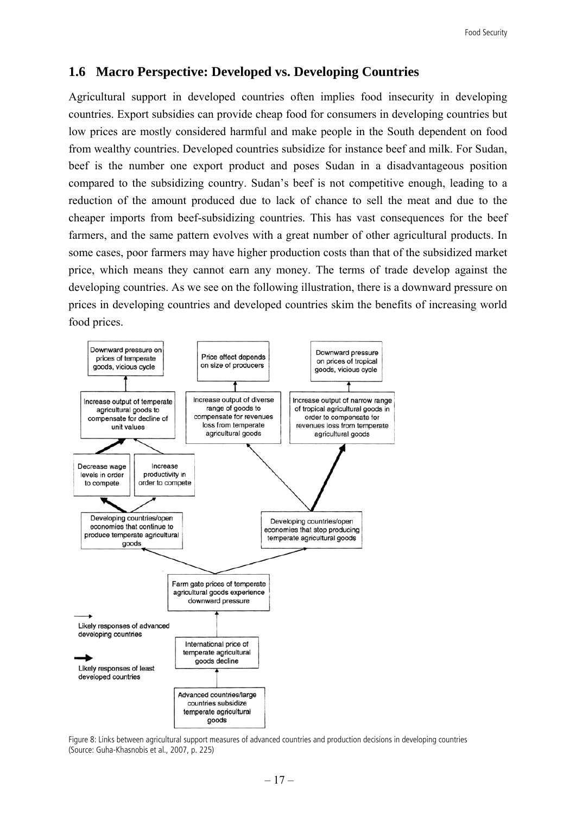#### **1.6 Macro Perspective: Developed vs. Developing Countries**

Agricultural support in developed countries often implies food insecurity in developing countries. Export subsidies can provide cheap food for consumers in developing countries but low prices are mostly considered harmful and make people in the South dependent on food from wealthy countries. Developed countries subsidize for instance beef and milk. For Sudan, beef is the number one export product and poses Sudan in a disadvantageous position compared to the subsidizing country. Sudan's beef is not competitive enough, leading to a reduction of the amount produced due to lack of chance to sell the meat and due to the cheaper imports from beef-subsidizing countries. This has vast consequences for the beef farmers, and the same pattern evolves with a great number of other agricultural products. In some cases, poor farmers may have higher production costs than that of the subsidized market price, which means they cannot earn any money. The terms of trade develop against the developing countries. As we see on the following illustration, there is a downward pressure on prices in developing countries and developed countries skim the benefits of increasing world food prices.



Figure 8: Links between agricultural support measures of advanced countries and production decisions in developing countries (Source: Guha-Khasnobis et al., 2007, p. 225)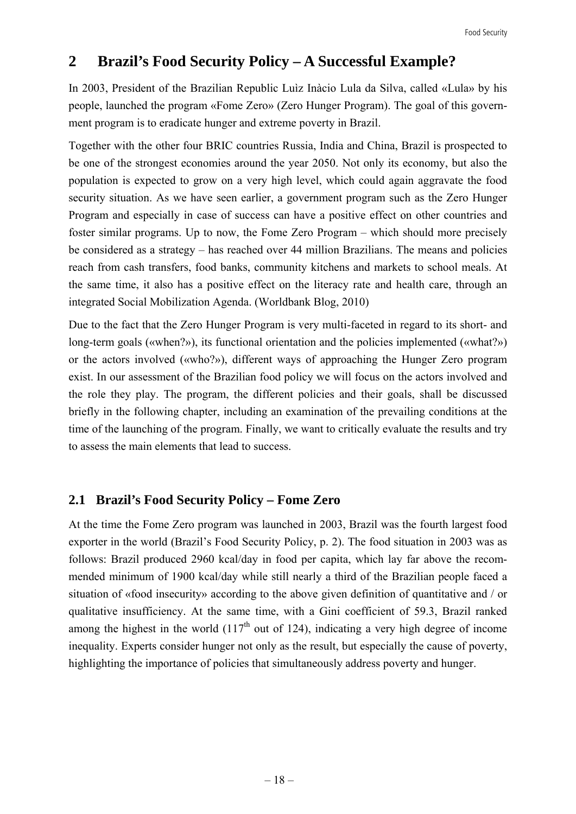## **2 Brazil's Food Security Policy – A Successful Example?**

In 2003, President of the Brazilian Republic Luìz Inàcio Lula da Silva, called «Lula» by his people, launched the program «Fome Zero» (Zero Hunger Program). The goal of this government program is to eradicate hunger and extreme poverty in Brazil.

Together with the other four BRIC countries Russia, India and China, Brazil is prospected to be one of the strongest economies around the year 2050. Not only its economy, but also the population is expected to grow on a very high level, which could again aggravate the food security situation. As we have seen earlier, a government program such as the Zero Hunger Program and especially in case of success can have a positive effect on other countries and foster similar programs. Up to now, the Fome Zero Program – which should more precisely be considered as a strategy – has reached over 44 million Brazilians. The means and policies reach from cash transfers, food banks, community kitchens and markets to school meals. At the same time, it also has a positive effect on the literacy rate and health care, through an integrated Social Mobilization Agenda. (Worldbank Blog, 2010)

Due to the fact that the Zero Hunger Program is very multi-faceted in regard to its short- and long-term goals («when?»), its functional orientation and the policies implemented («what?») or the actors involved («who?»), different ways of approaching the Hunger Zero program exist. In our assessment of the Brazilian food policy we will focus on the actors involved and the role they play. The program, the different policies and their goals, shall be discussed briefly in the following chapter, including an examination of the prevailing conditions at the time of the launching of the program. Finally, we want to critically evaluate the results and try to assess the main elements that lead to success.

#### **2.1 Brazil's Food Security Policy – Fome Zero**

At the time the Fome Zero program was launched in 2003, Brazil was the fourth largest food exporter in the world (Brazil's Food Security Policy, p. 2). The food situation in 2003 was as follows: Brazil produced 2960 kcal/day in food per capita, which lay far above the recommended minimum of 1900 kcal/day while still nearly a third of the Brazilian people faced a situation of «food insecurity» according to the above given definition of quantitative and / or qualitative insufficiency. At the same time, with a Gini coefficient of 59.3, Brazil ranked among the highest in the world  $(117<sup>th</sup>$  out of 124), indicating a very high degree of income inequality. Experts consider hunger not only as the result, but especially the cause of poverty, highlighting the importance of policies that simultaneously address poverty and hunger.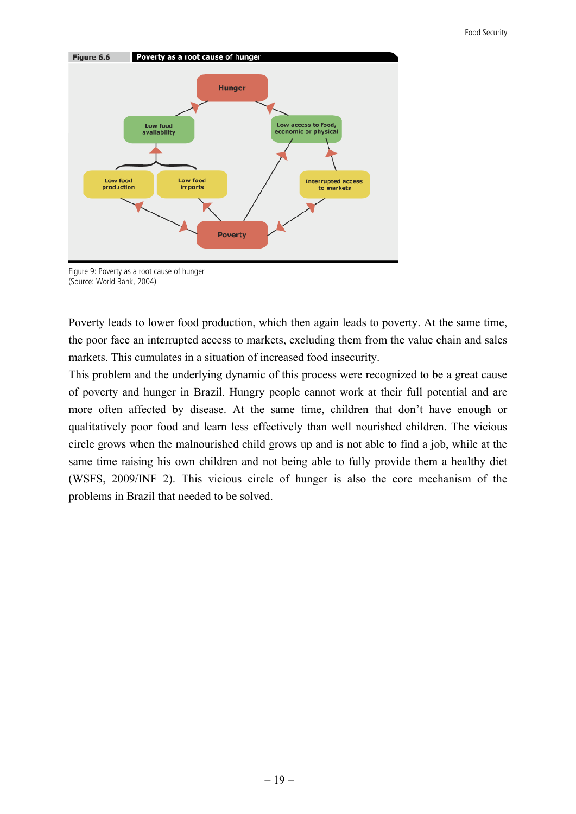

Figure 9: Poverty as a root cause of hunger (Source: World Bank, 2004)

Poverty leads to lower food production, which then again leads to poverty. At the same time, the poor face an interrupted access to markets, excluding them from the value chain and sales markets. This cumulates in a situation of increased food insecurity.

This problem and the underlying dynamic of this process were recognized to be a great cause of poverty and hunger in Brazil. Hungry people cannot work at their full potential and are more often affected by disease. At the same time, children that don't have enough or qualitatively poor food and learn less effectively than well nourished children. The vicious circle grows when the malnourished child grows up and is not able to find a job, while at the same time raising his own children and not being able to fully provide them a healthy diet (WSFS, 2009/INF 2). This vicious circle of hunger is also the core mechanism of the problems in Brazil that needed to be solved.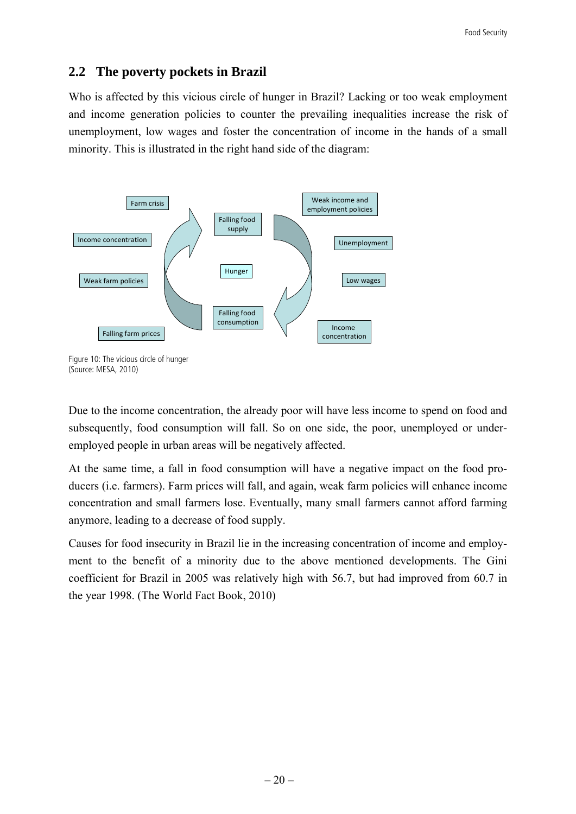## **2.2 The poverty pockets in Brazil**

Who is affected by this vicious circle of hunger in Brazil? Lacking or too weak employment and income generation policies to counter the prevailing inequalities increase the risk of unemployment, low wages and foster the concentration of income in the hands of a small minority. This is illustrated in the right hand side of the diagram:



Figure 10: The vicious circle of hunger (Source: MESA, 2010)

Due to the income concentration, the already poor will have less income to spend on food and subsequently, food consumption will fall. So on one side, the poor, unemployed or underemployed people in urban areas will be negatively affected.

At the same time, a fall in food consumption will have a negative impact on the food producers (i.e. farmers). Farm prices will fall, and again, weak farm policies will enhance income concentration and small farmers lose. Eventually, many small farmers cannot afford farming anymore, leading to a decrease of food supply.

Causes for food insecurity in Brazil lie in the increasing concentration of income and employment to the benefit of a minority due to the above mentioned developments. The Gini coefficient for Brazil in 2005 was relatively high with 56.7, but had improved from 60.7 in the year 1998. (The World Fact Book, 2010)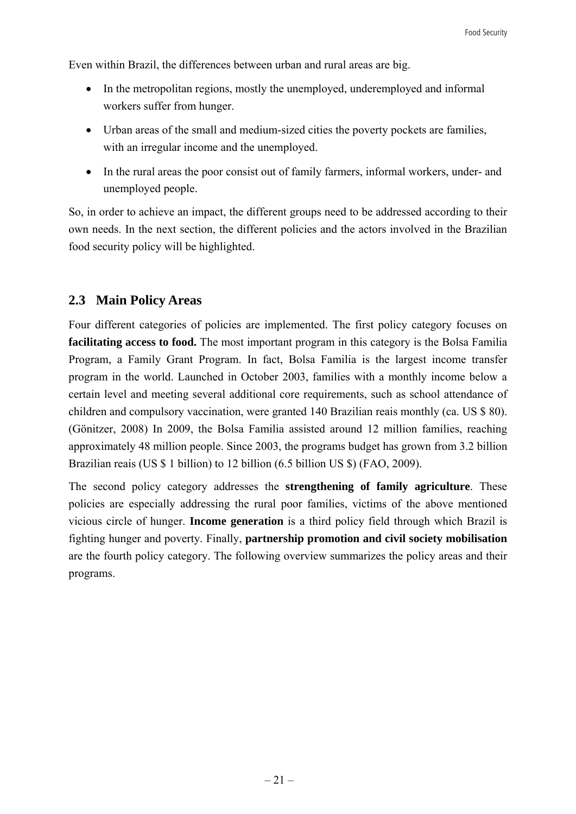Even within Brazil, the differences between urban and rural areas are big.

- In the metropolitan regions, mostly the unemployed, underemployed and informal workers suffer from hunger.
- Urban areas of the small and medium-sized cities the poverty pockets are families, with an irregular income and the unemployed.
- In the rural areas the poor consist out of family farmers, informal workers, under- and unemployed people.

So, in order to achieve an impact, the different groups need to be addressed according to their own needs. In the next section, the different policies and the actors involved in the Brazilian food security policy will be highlighted.

### **2.3 Main Policy Areas**

Four different categories of policies are implemented. The first policy category focuses on **facilitating access to food.** The most important program in this category is the Bolsa Familia Program, a Family Grant Program. In fact, Bolsa Familia is the largest income transfer program in the world. Launched in October 2003, families with a monthly income below a certain level and meeting several additional core requirements, such as school attendance of children and compulsory vaccination, were granted 140 Brazilian reais monthly (ca. US \$ 80). (Gönitzer, 2008) In 2009, the Bolsa Familia assisted around 12 million families, reaching approximately 48 million people. Since 2003, the programs budget has grown from 3.2 billion Brazilian reais (US \$ 1 billion) to 12 billion (6.5 billion US \$) (FAO, 2009).

The second policy category addresses the **strengthening of family agriculture**. These policies are especially addressing the rural poor families, victims of the above mentioned vicious circle of hunger. **Income generation** is a third policy field through which Brazil is fighting hunger and poverty. Finally, **partnership promotion and civil society mobilisation** are the fourth policy category. The following overview summarizes the policy areas and their programs.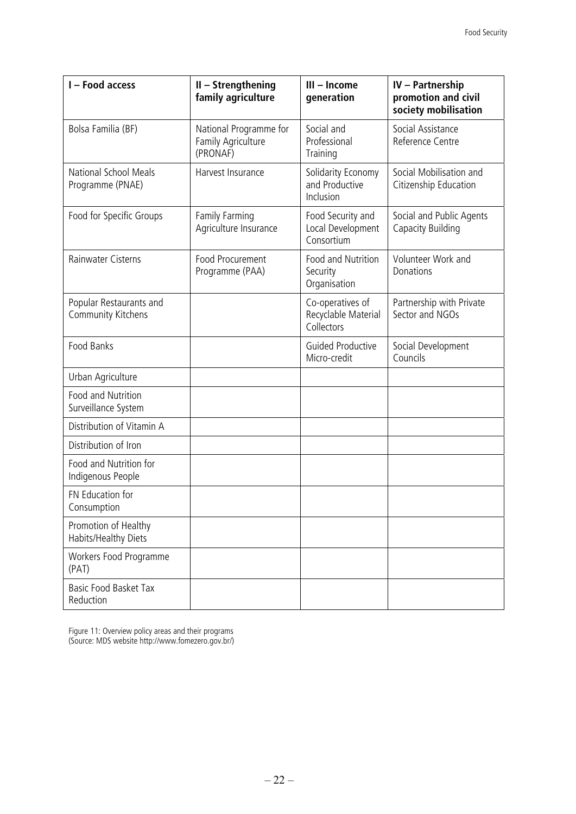| I - Food access                                      | II - Strengthening<br>family agriculture                 | III - Income<br>generation                            | <b>IV</b> - Partnership<br>promotion and civil<br>society mobilisation |
|------------------------------------------------------|----------------------------------------------------------|-------------------------------------------------------|------------------------------------------------------------------------|
| Bolsa Familia (BF)                                   | National Programme for<br>Family Agriculture<br>(PRONAF) | Social and<br>Professional<br>Training                | Social Assistance<br>Reference Centre                                  |
| National School Meals<br>Programme (PNAE)            | Harvest Insurance                                        | Solidarity Economy<br>and Productive<br>Inclusion     | Social Mobilisation and<br>Citizenship Education                       |
| Food for Specific Groups                             | Family Farming<br>Agriculture Insurance                  | Food Security and<br>Local Development<br>Consortium  | Social and Public Agents<br>Capacity Building                          |
| Rainwater Cisterns                                   | <b>Food Procurement</b><br>Programme (PAA)               | Food and Nutrition<br>Security<br>Organisation        | Volunteer Work and<br>Donations                                        |
| Popular Restaurants and<br><b>Community Kitchens</b> |                                                          | Co-operatives of<br>Recyclable Material<br>Collectors | Partnership with Private<br>Sector and NGOs                            |
| Food Banks                                           |                                                          | <b>Guided Productive</b><br>Micro-credit              | Social Development<br>Councils                                         |
| Urban Agriculture                                    |                                                          |                                                       |                                                                        |
| Food and Nutrition<br>Surveillance System            |                                                          |                                                       |                                                                        |
| Distribution of Vitamin A                            |                                                          |                                                       |                                                                        |
| Distribution of Iron                                 |                                                          |                                                       |                                                                        |
| Food and Nutrition for<br>Indigenous People          |                                                          |                                                       |                                                                        |
| FN Education for<br>Consumption                      |                                                          |                                                       |                                                                        |
| Promotion of Healthy<br>Habits/Healthy Diets         |                                                          |                                                       |                                                                        |
| Workers Food Programme<br>(PAT)                      |                                                          |                                                       |                                                                        |
| Basic Food Basket Tax<br>Reduction                   |                                                          |                                                       |                                                                        |

Figure 11: Overview policy areas and their programs (Source: MDS website http://www.fomezero.gov.br/)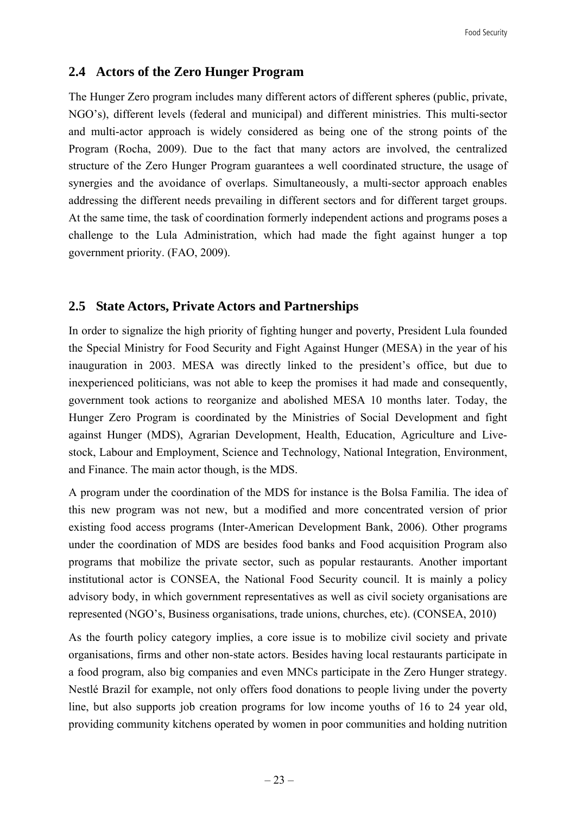## **2.4 Actors of the Zero Hunger Program**

The Hunger Zero program includes many different actors of different spheres (public, private, NGO's), different levels (federal and municipal) and different ministries. This multi-sector and multi-actor approach is widely considered as being one of the strong points of the Program (Rocha, 2009). Due to the fact that many actors are involved, the centralized structure of the Zero Hunger Program guarantees a well coordinated structure, the usage of synergies and the avoidance of overlaps. Simultaneously, a multi-sector approach enables addressing the different needs prevailing in different sectors and for different target groups. At the same time, the task of coordination formerly independent actions and programs poses a challenge to the Lula Administration, which had made the fight against hunger a top government priority. (FAO, 2009).

## **2.5 State Actors, Private Actors and Partnerships**

In order to signalize the high priority of fighting hunger and poverty, President Lula founded the Special Ministry for Food Security and Fight Against Hunger (MESA) in the year of his inauguration in 2003. MESA was directly linked to the president's office, but due to inexperienced politicians, was not able to keep the promises it had made and consequently, government took actions to reorganize and abolished MESA 10 months later. Today, the Hunger Zero Program is coordinated by the Ministries of Social Development and fight against Hunger (MDS), Agrarian Development, Health, Education, Agriculture and Livestock, Labour and Employment, Science and Technology, National Integration, Environment, and Finance. The main actor though, is the MDS.

A program under the coordination of the MDS for instance is the Bolsa Familia. The idea of this new program was not new, but a modified and more concentrated version of prior existing food access programs (Inter-American Development Bank, 2006). Other programs under the coordination of MDS are besides food banks and Food acquisition Program also programs that mobilize the private sector, such as popular restaurants. Another important institutional actor is CONSEA, the National Food Security council. It is mainly a policy advisory body, in which government representatives as well as civil society organisations are represented (NGO's, Business organisations, trade unions, churches, etc). (CONSEA, 2010)

As the fourth policy category implies, a core issue is to mobilize civil society and private organisations, firms and other non-state actors. Besides having local restaurants participate in a food program, also big companies and even MNCs participate in the Zero Hunger strategy. Nestlé Brazil for example, not only offers food donations to people living under the poverty line, but also supports job creation programs for low income youths of 16 to 24 year old, providing community kitchens operated by women in poor communities and holding nutrition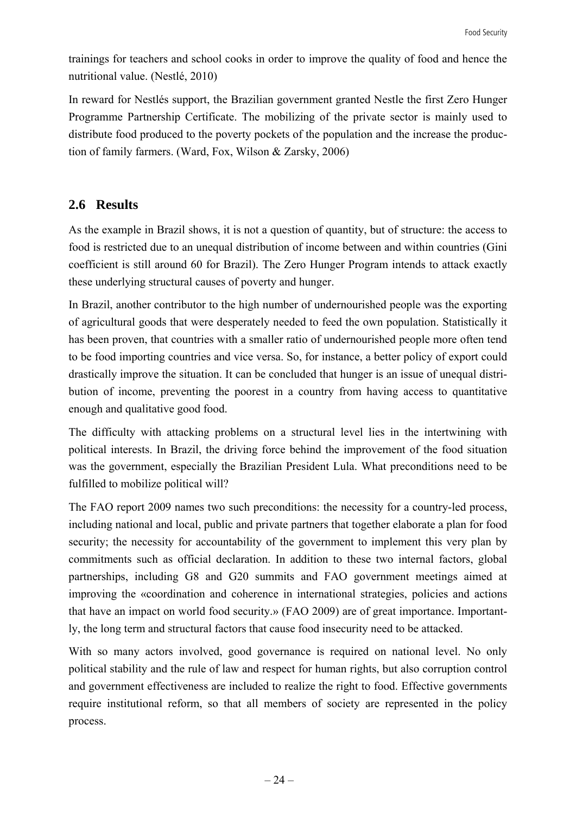trainings for teachers and school cooks in order to improve the quality of food and hence the nutritional value. (Nestlé, 2010)

In reward for Nestlés support, the Brazilian government granted Nestle the first Zero Hunger Programme Partnership Certificate. The mobilizing of the private sector is mainly used to distribute food produced to the poverty pockets of the population and the increase the production of family farmers. (Ward, Fox, Wilson & Zarsky, 2006)

## **2.6 Results**

As the example in Brazil shows, it is not a question of quantity, but of structure: the access to food is restricted due to an unequal distribution of income between and within countries (Gini coefficient is still around 60 for Brazil). The Zero Hunger Program intends to attack exactly these underlying structural causes of poverty and hunger.

In Brazil, another contributor to the high number of undernourished people was the exporting of agricultural goods that were desperately needed to feed the own population. Statistically it has been proven, that countries with a smaller ratio of undernourished people more often tend to be food importing countries and vice versa. So, for instance, a better policy of export could drastically improve the situation. It can be concluded that hunger is an issue of unequal distribution of income, preventing the poorest in a country from having access to quantitative enough and qualitative good food.

The difficulty with attacking problems on a structural level lies in the intertwining with political interests. In Brazil, the driving force behind the improvement of the food situation was the government, especially the Brazilian President Lula. What preconditions need to be fulfilled to mobilize political will?

The FAO report 2009 names two such preconditions: the necessity for a country-led process, including national and local, public and private partners that together elaborate a plan for food security; the necessity for accountability of the government to implement this very plan by commitments such as official declaration. In addition to these two internal factors, global partnerships, including G8 and G20 summits and FAO government meetings aimed at improving the «coordination and coherence in international strategies, policies and actions that have an impact on world food security.» (FAO 2009) are of great importance. Importantly, the long term and structural factors that cause food insecurity need to be attacked.

With so many actors involved, good governance is required on national level. No only political stability and the rule of law and respect for human rights, but also corruption control and government effectiveness are included to realize the right to food. Effective governments require institutional reform, so that all members of society are represented in the policy process.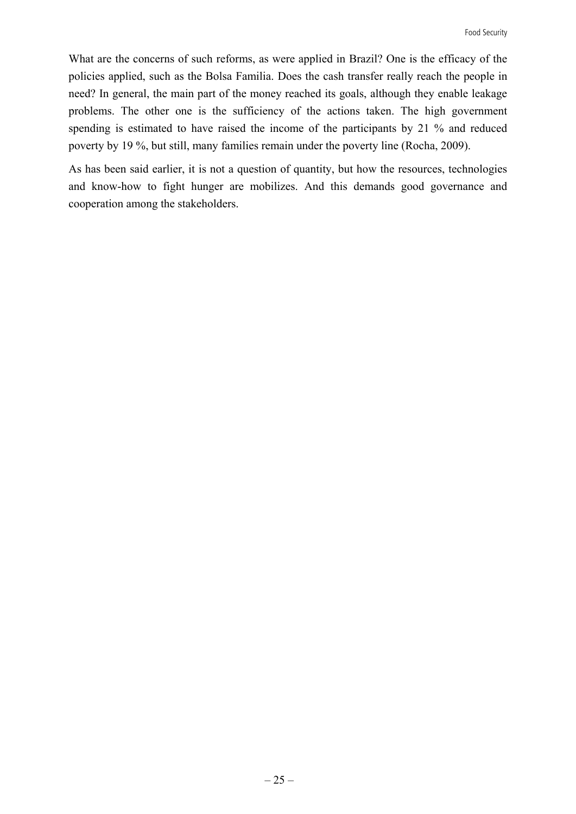What are the concerns of such reforms, as were applied in Brazil? One is the efficacy of the policies applied, such as the Bolsa Familia. Does the cash transfer really reach the people in need? In general, the main part of the money reached its goals, although they enable leakage problems. The other one is the sufficiency of the actions taken. The high government spending is estimated to have raised the income of the participants by 21 % and reduced poverty by 19 %, but still, many families remain under the poverty line (Rocha, 2009).

As has been said earlier, it is not a question of quantity, but how the resources, technologies and know-how to fight hunger are mobilizes. And this demands good governance and cooperation among the stakeholders.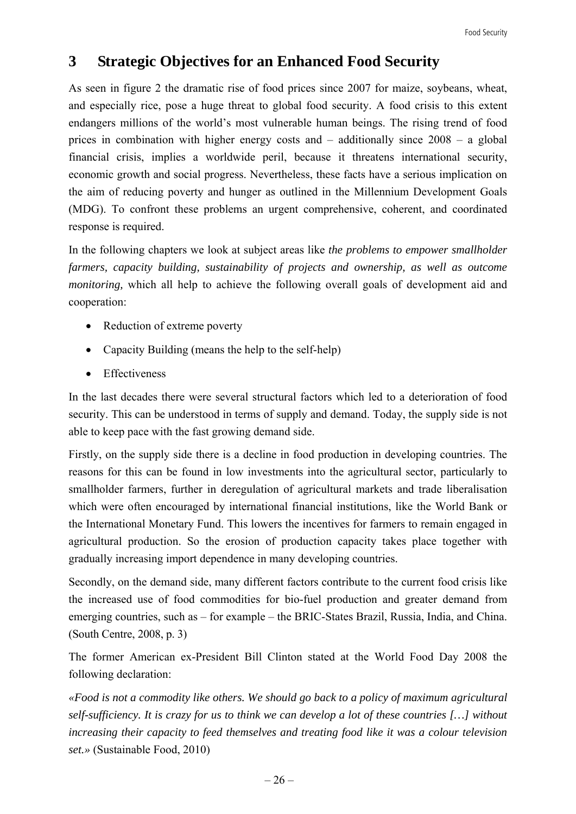## **3 Strategic Objectives for an Enhanced Food Security**

As seen in figure 2 the dramatic rise of food prices since 2007 for maize, soybeans, wheat, and especially rice, pose a huge threat to global food security. A food crisis to this extent endangers millions of the world's most vulnerable human beings. The rising trend of food prices in combination with higher energy costs and – additionally since 2008 – a global financial crisis, implies a worldwide peril, because it threatens international security, economic growth and social progress. Nevertheless, these facts have a serious implication on the aim of reducing poverty and hunger as outlined in the Millennium Development Goals (MDG). To confront these problems an urgent comprehensive, coherent, and coordinated response is required.

In the following chapters we look at subject areas like *the problems to empower smallholder farmers, capacity building, sustainability of projects and ownership, as well as outcome monitoring*, which all help to achieve the following overall goals of development aid and cooperation:

- Reduction of extreme poverty
- Capacity Building (means the help to the self-help)
- Effectiveness

In the last decades there were several structural factors which led to a deterioration of food security. This can be understood in terms of supply and demand. Today, the supply side is not able to keep pace with the fast growing demand side.

Firstly, on the supply side there is a decline in food production in developing countries. The reasons for this can be found in low investments into the agricultural sector, particularly to smallholder farmers, further in deregulation of agricultural markets and trade liberalisation which were often encouraged by international financial institutions, like the World Bank or the International Monetary Fund. This lowers the incentives for farmers to remain engaged in agricultural production. So the erosion of production capacity takes place together with gradually increasing import dependence in many developing countries.

Secondly, on the demand side, many different factors contribute to the current food crisis like the increased use of food commodities for bio-fuel production and greater demand from emerging countries, such as – for example – the BRIC-States Brazil, Russia, India, and China. (South Centre, 2008, p. 3)

The former American ex-President Bill Clinton stated at the World Food Day 2008 the following declaration:

*«Food is not a commodity like others. We should go back to a policy of maximum agricultural self-sufficiency. It is crazy for us to think we can develop a lot of these countries […] without increasing their capacity to feed themselves and treating food like it was a colour television set.»* (Sustainable Food, 2010)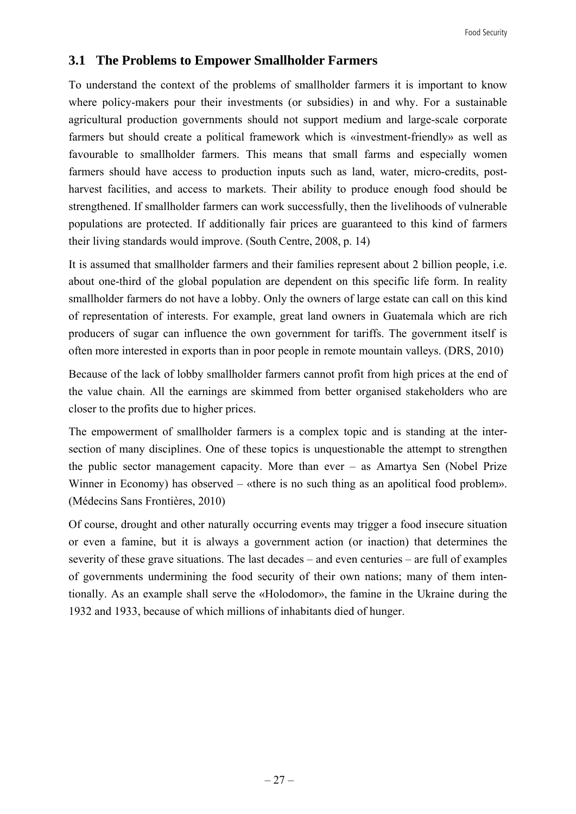## **3.1 The Problems to Empower Smallholder Farmers**

To understand the context of the problems of smallholder farmers it is important to know where policy-makers pour their investments (or subsidies) in and why. For a sustainable agricultural production governments should not support medium and large-scale corporate farmers but should create a political framework which is «investment-friendly» as well as favourable to smallholder farmers. This means that small farms and especially women farmers should have access to production inputs such as land, water, micro-credits, postharvest facilities, and access to markets. Their ability to produce enough food should be strengthened. If smallholder farmers can work successfully, then the livelihoods of vulnerable populations are protected. If additionally fair prices are guaranteed to this kind of farmers their living standards would improve. (South Centre, 2008, p. 14)

It is assumed that smallholder farmers and their families represent about 2 billion people, i.e. about one-third of the global population are dependent on this specific life form. In reality smallholder farmers do not have a lobby. Only the owners of large estate can call on this kind of representation of interests. For example, great land owners in Guatemala which are rich producers of sugar can influence the own government for tariffs. The government itself is often more interested in exports than in poor people in remote mountain valleys. (DRS, 2010)

Because of the lack of lobby smallholder farmers cannot profit from high prices at the end of the value chain. All the earnings are skimmed from better organised stakeholders who are closer to the profits due to higher prices.

The empowerment of smallholder farmers is a complex topic and is standing at the intersection of many disciplines. One of these topics is unquestionable the attempt to strengthen the public sector management capacity. More than ever – as Amartya Sen (Nobel Prize Winner in Economy) has observed – «there is no such thing as an apolitical food problem». (Médecins Sans Frontières, 2010)

Of course, drought and other naturally occurring events may trigger a food insecure situation or even a famine, but it is always a government action (or inaction) that determines the severity of these grave situations. The last decades – and even centuries – are full of examples of governments undermining the food security of their own nations; many of them intentionally. As an example shall serve the «Holodomor», the famine in the Ukraine during the 1932 and 1933, because of which millions of inhabitants died of hunger.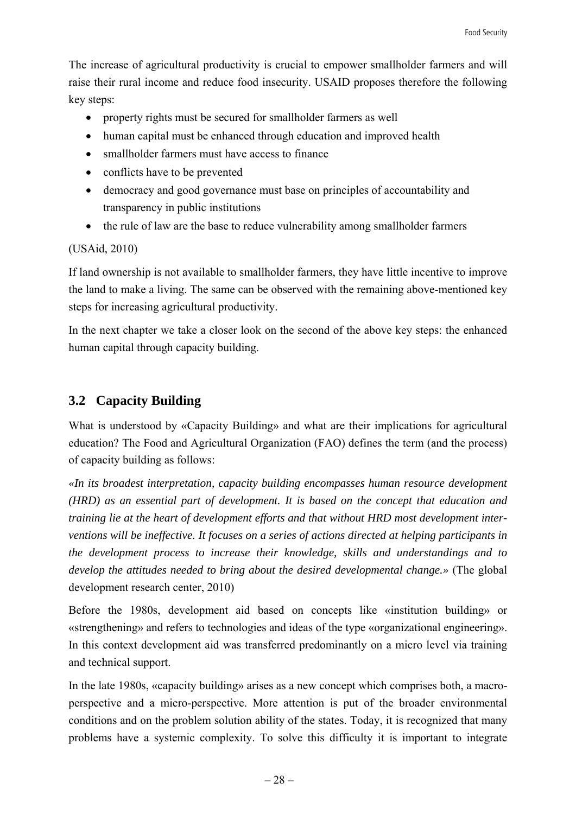The increase of agricultural productivity is crucial to empower smallholder farmers and will raise their rural income and reduce food insecurity. USAID proposes therefore the following key steps:

- property rights must be secured for smallholder farmers as well
- human capital must be enhanced through education and improved health
- smallholder farmers must have access to finance
- conflicts have to be prevented
- democracy and good governance must base on principles of accountability and transparency in public institutions
- the rule of law are the base to reduce vulnerability among smallholder farmers

#### (USAid, 2010)

If land ownership is not available to smallholder farmers, they have little incentive to improve the land to make a living. The same can be observed with the remaining above-mentioned key steps for increasing agricultural productivity.

In the next chapter we take a closer look on the second of the above key steps: the enhanced human capital through capacity building.

## **3.2 Capacity Building**

What is understood by «Capacity Building» and what are their implications for agricultural education? The Food and Agricultural Organization (FAO) defines the term (and the process) of capacity building as follows:

*«In its broadest interpretation, capacity building encompasses human resource development (HRD) as an essential part of development. It is based on the concept that education and training lie at the heart of development efforts and that without HRD most development interventions will be ineffective. It focuses on a series of actions directed at helping participants in the development process to increase their knowledge, skills and understandings and to develop the attitudes needed to bring about the desired developmental change.»* (The global development research center, 2010)

Before the 1980s, development aid based on concepts like «institution building» or «strengthening» and refers to technologies and ideas of the type «organizational engineering». In this context development aid was transferred predominantly on a micro level via training and technical support.

In the late 1980s, «capacity building» arises as a new concept which comprises both, a macroperspective and a micro-perspective. More attention is put of the broader environmental conditions and on the problem solution ability of the states. Today, it is recognized that many problems have a systemic complexity. To solve this difficulty it is important to integrate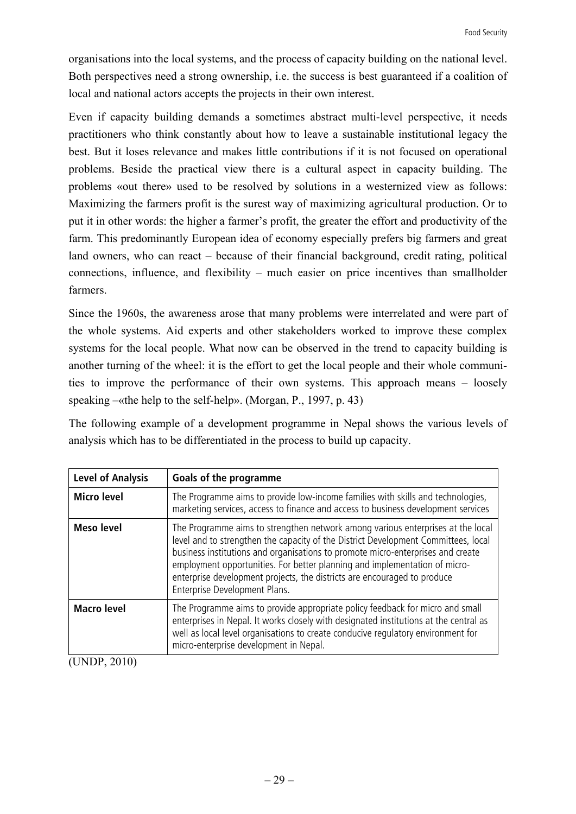organisations into the local systems, and the process of capacity building on the national level. Both perspectives need a strong ownership, i.e. the success is best guaranteed if a coalition of local and national actors accepts the projects in their own interest.

Even if capacity building demands a sometimes abstract multi-level perspective, it needs practitioners who think constantly about how to leave a sustainable institutional legacy the best. But it loses relevance and makes little contributions if it is not focused on operational problems. Beside the practical view there is a cultural aspect in capacity building. The problems «out there» used to be resolved by solutions in a westernized view as follows: Maximizing the farmers profit is the surest way of maximizing agricultural production. Or to put it in other words: the higher a farmer's profit, the greater the effort and productivity of the farm. This predominantly European idea of economy especially prefers big farmers and great land owners, who can react – because of their financial background, credit rating, political connections, influence, and flexibility – much easier on price incentives than smallholder farmers.

Since the 1960s, the awareness arose that many problems were interrelated and were part of the whole systems. Aid experts and other stakeholders worked to improve these complex systems for the local people. What now can be observed in the trend to capacity building is another turning of the wheel: it is the effort to get the local people and their whole communities to improve the performance of their own systems. This approach means – loosely speaking –«the help to the self-help». (Morgan, P., 1997, p. 43)

The following example of a development programme in Nepal shows the various levels of analysis which has to be differentiated in the process to build up capacity.

| <b>Level of Analysis</b> | <b>Goals of the programme</b>                                                                                                                                                                                                                                                                                                                                                                                                                       |
|--------------------------|-----------------------------------------------------------------------------------------------------------------------------------------------------------------------------------------------------------------------------------------------------------------------------------------------------------------------------------------------------------------------------------------------------------------------------------------------------|
| <b>Micro level</b>       | The Programme aims to provide low-income families with skills and technologies,<br>marketing services, access to finance and access to business development services                                                                                                                                                                                                                                                                                |
| <b>Meso level</b>        | The Programme aims to strengthen network among various enterprises at the local<br>level and to strengthen the capacity of the District Development Committees, local<br>business institutions and organisations to promote micro-enterprises and create<br>employment opportunities. For better planning and implementation of micro-<br>enterprise development projects, the districts are encouraged to produce<br>Enterprise Development Plans. |
| <b>Macro level</b>       | The Programme aims to provide appropriate policy feedback for micro and small<br>enterprises in Nepal. It works closely with designated institutions at the central as<br>well as local level organisations to create conducive regulatory environment for<br>micro-enterprise development in Nepal.                                                                                                                                                |

(UNDP, 2010)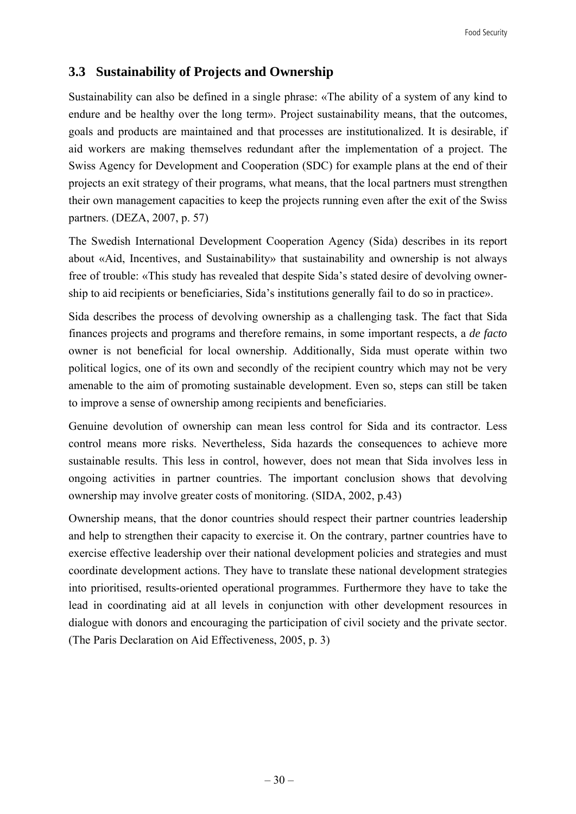## **3.3 Sustainability of Projects and Ownership**

Sustainability can also be defined in a single phrase: «The ability of a system of any kind to endure and be healthy over the long term». Project sustainability means, that the outcomes, goals and products are maintained and that processes are institutionalized. It is desirable, if aid workers are making themselves redundant after the implementation of a project. The Swiss Agency for Development and Cooperation (SDC) for example plans at the end of their projects an exit strategy of their programs, what means, that the local partners must strengthen their own management capacities to keep the projects running even after the exit of the Swiss partners. (DEZA, 2007, p. 57)

The Swedish International Development Cooperation Agency (Sida) describes in its report about «Aid, Incentives, and Sustainability» that sustainability and ownership is not always free of trouble: «This study has revealed that despite Sida's stated desire of devolving ownership to aid recipients or beneficiaries, Sida's institutions generally fail to do so in practice».

Sida describes the process of devolving ownership as a challenging task. The fact that Sida finances projects and programs and therefore remains, in some important respects, a *de facto*  owner is not beneficial for local ownership. Additionally, Sida must operate within two political logics, one of its own and secondly of the recipient country which may not be very amenable to the aim of promoting sustainable development. Even so, steps can still be taken to improve a sense of ownership among recipients and beneficiaries.

Genuine devolution of ownership can mean less control for Sida and its contractor. Less control means more risks. Nevertheless, Sida hazards the consequences to achieve more sustainable results. This less in control, however, does not mean that Sida involves less in ongoing activities in partner countries. The important conclusion shows that devolving ownership may involve greater costs of monitoring. (SIDA, 2002, p.43)

Ownership means, that the donor countries should respect their partner countries leadership and help to strengthen their capacity to exercise it. On the contrary, partner countries have to exercise effective leadership over their national development policies and strategies and must coordinate development actions. They have to translate these national development strategies into prioritised, results-oriented operational programmes. Furthermore they have to take the lead in coordinating aid at all levels in conjunction with other development resources in dialogue with donors and encouraging the participation of civil society and the private sector. (The Paris Declaration on Aid Effectiveness, 2005, p. 3)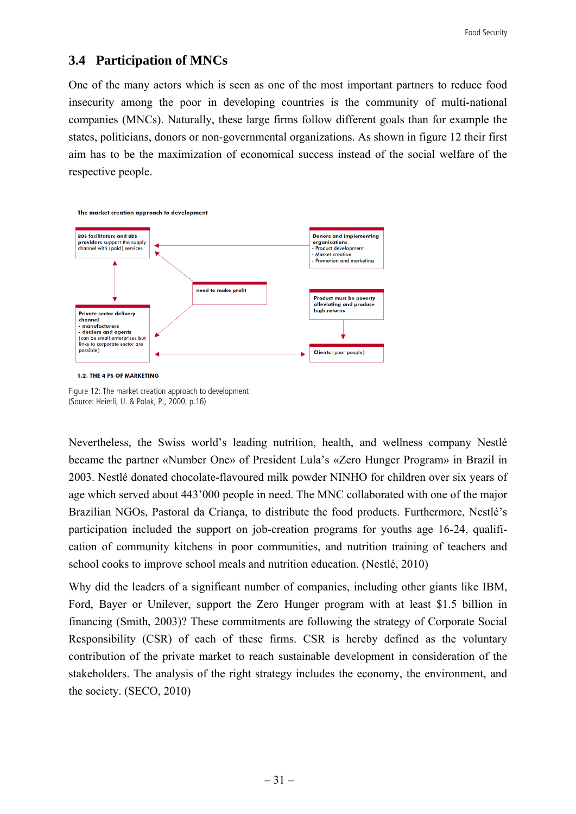### **3.4 Participation of MNCs**

One of the many actors which is seen as one of the most important partners to reduce food insecurity among the poor in developing countries is the community of multi-national companies (MNCs). Naturally, these large firms follow different goals than for example the states, politicians, donors or non-governmental organizations. As shown in figure 12 their first aim has to be the maximization of economical success instead of the social welfare of the respective people.



Figure 12: The market creation approach to development (Source: Heierli, U. & Polak, P., 2000, p.16)

Nevertheless, the Swiss world's leading nutrition, health, and wellness company Nestlé became the partner «Number One» of President Lula's «Zero Hunger Program» in Brazil in 2003. Nestlé donated chocolate-flavoured milk powder NINHO for children over six years of age which served about 443'000 people in need. The MNC collaborated with one of the major Brazilian NGOs, Pastoral da Criança, to distribute the food products. Furthermore, Nestlé's participation included the support on job-creation programs for youths age 16-24, qualification of community kitchens in poor communities, and nutrition training of teachers and school cooks to improve school meals and nutrition education. (Nestlé, 2010)

Why did the leaders of a significant number of companies, including other giants like IBM, Ford, Bayer or Unilever, support the Zero Hunger program with at least \$1.5 billion in financing (Smith, 2003)? These commitments are following the strategy of Corporate Social Responsibility (CSR) of each of these firms. CSR is hereby defined as the voluntary contribution of the private market to reach sustainable development in consideration of the stakeholders. The analysis of the right strategy includes the economy, the environment, and the society. (SECO, 2010)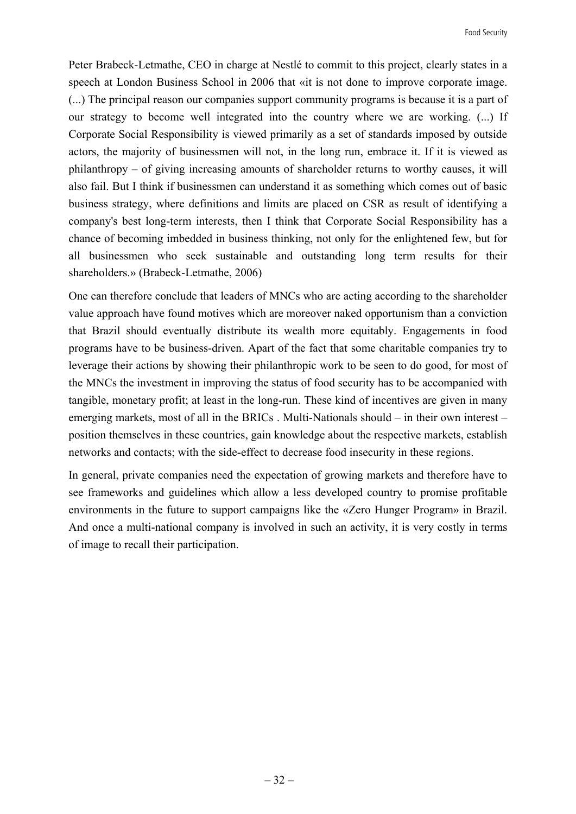Peter Brabeck-Letmathe, CEO in charge at Nestlé to commit to this project, clearly states in a speech at London Business School in 2006 that «it is not done to improve corporate image. (...) The principal reason our companies support community programs is because it is a part of our strategy to become well integrated into the country where we are working. (...) If Corporate Social Responsibility is viewed primarily as a set of standards imposed by outside actors, the majority of businessmen will not, in the long run, embrace it. If it is viewed as philanthropy – of giving increasing amounts of shareholder returns to worthy causes, it will also fail. But I think if businessmen can understand it as something which comes out of basic business strategy, where definitions and limits are placed on CSR as result of identifying a company's best long-term interests, then I think that Corporate Social Responsibility has a chance of becoming imbedded in business thinking, not only for the enlightened few, but for all businessmen who seek sustainable and outstanding long term results for their shareholders.» (Brabeck-Letmathe, 2006)

One can therefore conclude that leaders of MNCs who are acting according to the shareholder value approach have found motives which are moreover naked opportunism than a conviction that Brazil should eventually distribute its wealth more equitably. Engagements in food programs have to be business-driven. Apart of the fact that some charitable companies try to leverage their actions by showing their philanthropic work to be seen to do good, for most of the MNCs the investment in improving the status of food security has to be accompanied with tangible, monetary profit; at least in the long-run. These kind of incentives are given in many emerging markets, most of all in the BRICs . Multi-Nationals should – in their own interest – position themselves in these countries, gain knowledge about the respective markets, establish networks and contacts; with the side-effect to decrease food insecurity in these regions.

In general, private companies need the expectation of growing markets and therefore have to see frameworks and guidelines which allow a less developed country to promise profitable environments in the future to support campaigns like the «Zero Hunger Program» in Brazil. And once a multi-national company is involved in such an activity, it is very costly in terms of image to recall their participation.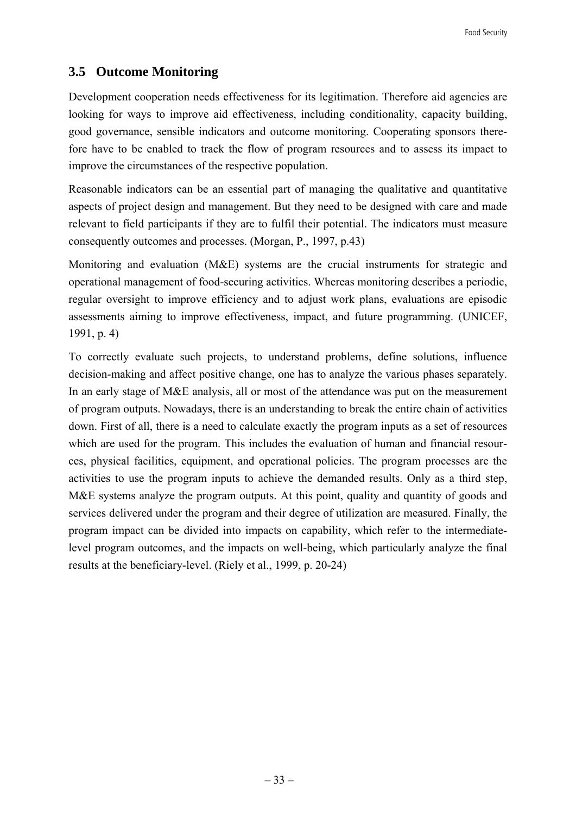## **3.5 Outcome Monitoring**

Development cooperation needs effectiveness for its legitimation. Therefore aid agencies are looking for ways to improve aid effectiveness, including conditionality, capacity building, good governance, sensible indicators and outcome monitoring. Cooperating sponsors therefore have to be enabled to track the flow of program resources and to assess its impact to improve the circumstances of the respective population.

Reasonable indicators can be an essential part of managing the qualitative and quantitative aspects of project design and management. But they need to be designed with care and made relevant to field participants if they are to fulfil their potential. The indicators must measure consequently outcomes and processes. (Morgan, P., 1997, p.43)

Monitoring and evaluation (M&E) systems are the crucial instruments for strategic and operational management of food-securing activities. Whereas monitoring describes a periodic, regular oversight to improve efficiency and to adjust work plans, evaluations are episodic assessments aiming to improve effectiveness, impact, and future programming. (UNICEF, 1991, p. 4)

To correctly evaluate such projects, to understand problems, define solutions, influence decision-making and affect positive change, one has to analyze the various phases separately. In an early stage of M&E analysis, all or most of the attendance was put on the measurement of program outputs. Nowadays, there is an understanding to break the entire chain of activities down. First of all, there is a need to calculate exactly the program inputs as a set of resources which are used for the program. This includes the evaluation of human and financial resources, physical facilities, equipment, and operational policies. The program processes are the activities to use the program inputs to achieve the demanded results. Only as a third step, M&E systems analyze the program outputs. At this point, quality and quantity of goods and services delivered under the program and their degree of utilization are measured. Finally, the program impact can be divided into impacts on capability, which refer to the intermediatelevel program outcomes, and the impacts on well-being, which particularly analyze the final results at the beneficiary-level. (Riely et al., 1999, p. 20-24)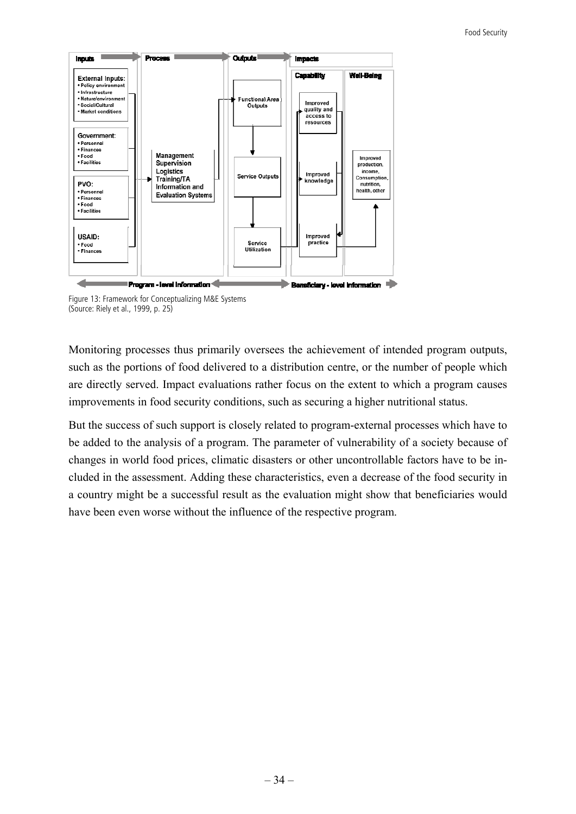

Figure 13: Framework for Conceptualizing M&E Systems (Source: Riely et al., 1999, p. 25)

Monitoring processes thus primarily oversees the achievement of intended program outputs, such as the portions of food delivered to a distribution centre, or the number of people which are directly served. Impact evaluations rather focus on the extent to which a program causes improvements in food security conditions, such as securing a higher nutritional status.

But the success of such support is closely related to program-external processes which have to be added to the analysis of a program. The parameter of vulnerability of a society because of changes in world food prices, climatic disasters or other uncontrollable factors have to be included in the assessment. Adding these characteristics, even a decrease of the food security in a country might be a successful result as the evaluation might show that beneficiaries would have been even worse without the influence of the respective program.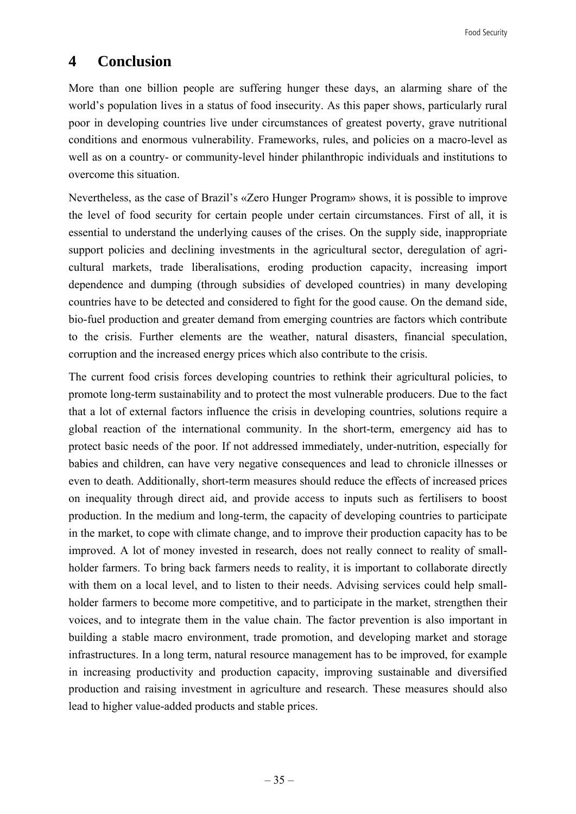## **4 Conclusion**

More than one billion people are suffering hunger these days, an alarming share of the world's population lives in a status of food insecurity. As this paper shows, particularly rural poor in developing countries live under circumstances of greatest poverty, grave nutritional conditions and enormous vulnerability. Frameworks, rules, and policies on a macro-level as well as on a country- or community-level hinder philanthropic individuals and institutions to overcome this situation.

Nevertheless, as the case of Brazil's «Zero Hunger Program» shows, it is possible to improve the level of food security for certain people under certain circumstances. First of all, it is essential to understand the underlying causes of the crises. On the supply side, inappropriate support policies and declining investments in the agricultural sector, deregulation of agricultural markets, trade liberalisations, eroding production capacity, increasing import dependence and dumping (through subsidies of developed countries) in many developing countries have to be detected and considered to fight for the good cause. On the demand side, bio-fuel production and greater demand from emerging countries are factors which contribute to the crisis. Further elements are the weather, natural disasters, financial speculation, corruption and the increased energy prices which also contribute to the crisis.

The current food crisis forces developing countries to rethink their agricultural policies, to promote long-term sustainability and to protect the most vulnerable producers. Due to the fact that a lot of external factors influence the crisis in developing countries, solutions require a global reaction of the international community. In the short-term, emergency aid has to protect basic needs of the poor. If not addressed immediately, under-nutrition, especially for babies and children, can have very negative consequences and lead to chronicle illnesses or even to death. Additionally, short-term measures should reduce the effects of increased prices on inequality through direct aid, and provide access to inputs such as fertilisers to boost production. In the medium and long-term, the capacity of developing countries to participate in the market, to cope with climate change, and to improve their production capacity has to be improved. A lot of money invested in research, does not really connect to reality of smallholder farmers. To bring back farmers needs to reality, it is important to collaborate directly with them on a local level, and to listen to their needs. Advising services could help smallholder farmers to become more competitive, and to participate in the market, strengthen their voices, and to integrate them in the value chain. The factor prevention is also important in building a stable macro environment, trade promotion, and developing market and storage infrastructures. In a long term, natural resource management has to be improved, for example in increasing productivity and production capacity, improving sustainable and diversified production and raising investment in agriculture and research. These measures should also lead to higher value-added products and stable prices.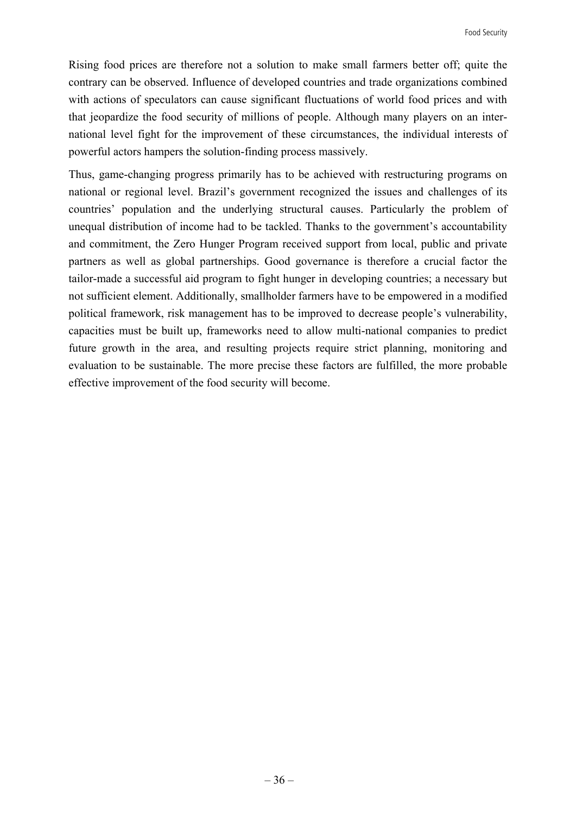Rising food prices are therefore not a solution to make small farmers better off; quite the contrary can be observed. Influence of developed countries and trade organizations combined with actions of speculators can cause significant fluctuations of world food prices and with that jeopardize the food security of millions of people. Although many players on an international level fight for the improvement of these circumstances, the individual interests of powerful actors hampers the solution-finding process massively.

Thus, game-changing progress primarily has to be achieved with restructuring programs on national or regional level. Brazil's government recognized the issues and challenges of its countries' population and the underlying structural causes. Particularly the problem of unequal distribution of income had to be tackled. Thanks to the government's accountability and commitment, the Zero Hunger Program received support from local, public and private partners as well as global partnerships. Good governance is therefore a crucial factor the tailor-made a successful aid program to fight hunger in developing countries; a necessary but not sufficient element. Additionally, smallholder farmers have to be empowered in a modified political framework, risk management has to be improved to decrease people's vulnerability, capacities must be built up, frameworks need to allow multi-national companies to predict future growth in the area, and resulting projects require strict planning, monitoring and evaluation to be sustainable. The more precise these factors are fulfilled, the more probable effective improvement of the food security will become.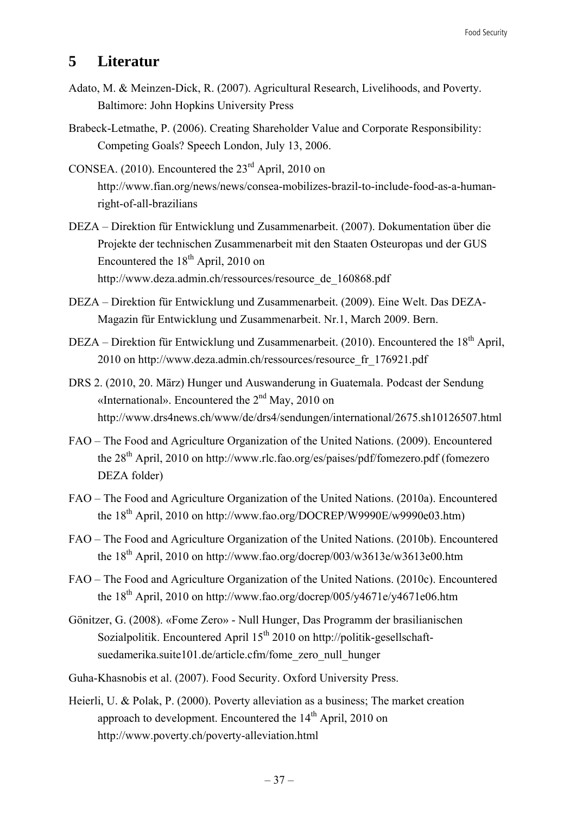## **5 Literatur**

- Adato, M. & Meinzen-Dick, R. (2007). Agricultural Research, Livelihoods, and Poverty. Baltimore: John Hopkins University Press
- Brabeck-Letmathe, P. (2006). Creating Shareholder Value and Corporate Responsibility: Competing Goals? Speech London, July 13, 2006.
- CONSEA. (2010). Encountered the  $23<sup>rd</sup>$  April, 2010 on http://www.fian.org/news/news/consea-mobilizes-brazil-to-include-food-as-a-humanright-of-all-brazilians
- DEZA Direktion für Entwicklung und Zusammenarbeit. (2007). Dokumentation über die Projekte der technischen Zusammenarbeit mit den Staaten Osteuropas und der GUS Encountered the  $18<sup>th</sup>$  April, 2010 on http://www.deza.admin.ch/ressources/resource\_de\_160868.pdf
- DEZA Direktion für Entwicklung und Zusammenarbeit. (2009). Eine Welt. Das DEZA-Magazin für Entwicklung und Zusammenarbeit. Nr.1, March 2009. Bern.
- DEZA Direktion für Entwicklung und Zusammenarbeit. (2010). Encountered the  $18<sup>th</sup>$  April, 2010 on http://www.deza.admin.ch/ressources/resource\_fr\_176921.pdf
- DRS 2. (2010, 20. März) Hunger und Auswanderung in Guatemala. Podcast der Sendung «International». Encountered the  $2<sup>nd</sup>$  May, 2010 on http://www.drs4news.ch/www/de/drs4/sendungen/international/2675.sh10126507.html
- FAO The Food and Agriculture Organization of the United Nations. (2009). Encountered the 28<sup>th</sup> April, 2010 on http://www.rlc.fao.org/es/paises/pdf/fomezero.pdf (fomezero DEZA folder)
- FAO The Food and Agriculture Organization of the United Nations. (2010a). Encountered the  $18<sup>th</sup>$  April, 2010 on http://www.fao.org/DOCREP/W9990E/w9990e03.htm)
- FAO The Food and Agriculture Organization of the United Nations. (2010b). Encountered the  $18<sup>th</sup>$  April, 2010 on http://www.fao.org/docrep/003/w3613e/w3613e00.htm
- FAO The Food and Agriculture Organization of the United Nations. (2010c). Encountered the 18<sup>th</sup> April, 2010 on http://www.fao.org/docrep/005/y4671e/y4671e06.htm
- Gönitzer, G. (2008). «Fome Zero» Null Hunger, Das Programm der brasilianischen Sozialpolitik. Encountered April  $15<sup>th</sup>$  2010 on http://politik-gesellschaftsuedamerika.suite101.de/article.cfm/fome\_zero\_null\_hunger
- Guha-Khasnobis et al. (2007). Food Security. Oxford University Press.
- Heierli, U. & Polak, P. (2000). Poverty alleviation as a business; The market creation approach to development. Encountered the 14<sup>th</sup> April, 2010 on http://www.poverty.ch/poverty-alleviation.html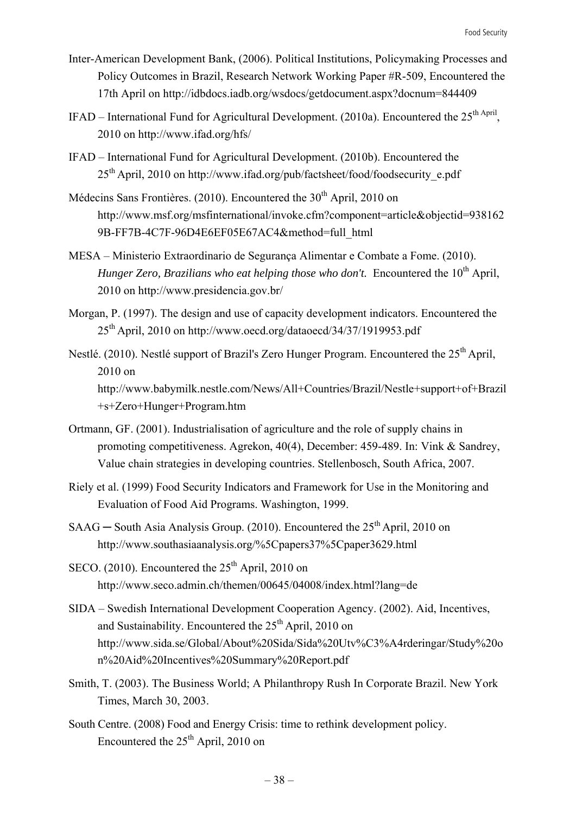- Inter-American Development Bank, (2006). Political Institutions, Policymaking Processes and Policy Outcomes in Brazil, Research Network Working Paper #R-509, Encountered the 17th April on http://idbdocs.iadb.org/wsdocs/getdocument.aspx?docnum=844409
- IFAD International Fund for Agricultural Development. (2010a). Encountered the  $25<sup>th April</sup>$ . 2010 on http://www.ifad.org/hfs/
- IFAD International Fund for Agricultural Development. (2010b). Encountered the  $25<sup>th</sup>$  April, 2010 on http://www.ifad.org/pub/factsheet/food/foodsecurity\_e.pdf
- Médecins Sans Frontières.  $(2010)$ . Encountered the  $30<sup>th</sup>$  April, 2010 on http://www.msf.org/msfinternational/invoke.cfm?component=article&objectid=938162 9B-FF7B-4C7F-96D4E6EF05E67AC4&method=full\_html
- MESA Ministerio Extraordinario de Segurança Alimentar e Combate a Fome. (2010). *Hunger Zero, Brazilians who eat helping those who don't.* Encountered the 10<sup>th</sup> April, 2010 on http://www.presidencia.gov.br/
- Morgan, P. (1997). The design and use of capacity development indicators. Encountered the 25th April, 2010 on http://www.oecd.org/dataoecd/34/37/1919953.pdf
- Nestlé. (2010). Nestlé support of Brazil's Zero Hunger Program. Encountered the 25<sup>th</sup> April, 2010 on http://www.babymilk.nestle.com/News/All+Countries/Brazil/Nestle+support+of+Brazil +s+Zero+Hunger+Program.htm
- Ortmann, GF. (2001). Industrialisation of agriculture and the role of supply chains in promoting competitiveness. Agrekon, 40(4), December: 459-489. In: Vink & Sandrey, Value chain strategies in developing countries. Stellenbosch, South Africa, 2007.
- Riely et al. (1999) Food Security Indicators and Framework for Use in the Monitoring and Evaluation of Food Aid Programs. Washington, 1999.
- SAAG South Asia Analysis Group. (2010). Encountered the  $25<sup>th</sup>$  April, 2010 on http://www.southasiaanalysis.org/%5Cpapers37%5Cpaper3629.html
- SECO. (2010). Encountered the  $25<sup>th</sup>$  April, 2010 on http://www.seco.admin.ch/themen/00645/04008/index.html?lang=de
- SIDA Swedish International Development Cooperation Agency. (2002). Aid, Incentives, and Sustainability. Encountered the  $25<sup>th</sup>$  April, 2010 on http://www.sida.se/Global/About%20Sida/Sida%20Utv%C3%A4rderingar/Study%20o n%20Aid%20Incentives%20Summary%20Report.pdf
- Smith, T. (2003). The Business World; A Philanthropy Rush In Corporate Brazil. New York Times, March 30, 2003.
- South Centre. (2008) Food and Energy Crisis: time to rethink development policy. Encountered the  $25<sup>th</sup>$  April, 2010 on